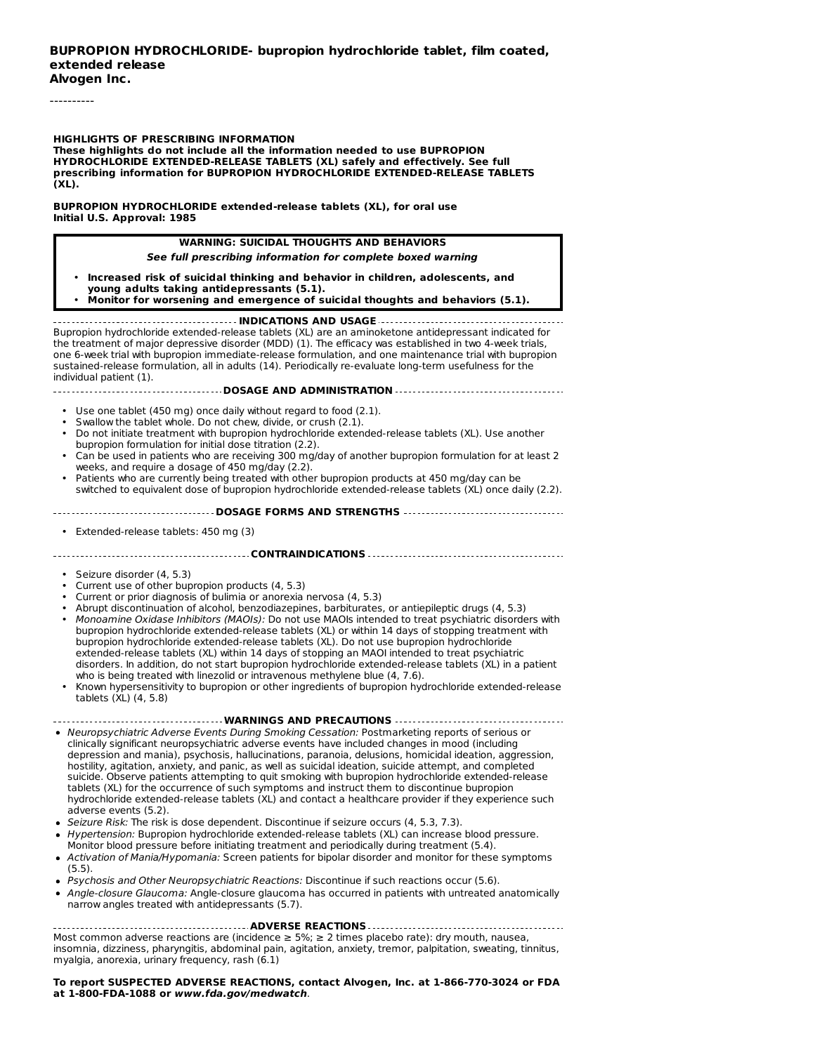----------

#### **HIGHLIGHTS OF PRESCRIBING INFORMATION**

**These highlights do not include all the information needed to use BUPROPION HYDROCHLORIDE EXTENDED-RELEASE TABLETS (XL) safely and effectively. See full prescribing information for BUPROPION HYDROCHLORIDE EXTENDED-RELEASE TABLETS (XL).**

**BUPROPION HYDROCHLORIDE extended-release tablets (XL), for oral use Initial U.S. Approval: 1985**

#### **WARNING: SUICIDAL THOUGHTS AND BEHAVIORS**

#### **See full prescribing information for complete boxed warning**

- **Increased risk of suicidal thinking and behavior in children, adolescents, and**
- **young adults taking antidepressants (5.1).**
- **Monitor for worsening and emergence of suicidal thoughts and behaviors (5.1).**

**INDICATIONS AND USAGE** Bupropion hydrochloride extended-release tablets (XL) are an aminoketone antidepressant indicated for the treatment of major depressive disorder (MDD) (1). The efficacy was established in two 4-week trials, one 6-week trial with bupropion immediate-release formulation, and one maintenance trial with bupropion sustained-release formulation, all in adults (14). Periodically re-evaluate long-term usefulness for the individual patient (1).

#### **DOSAGE AND ADMINISTRATION**

- Use one tablet (450 mg) once daily without regard to food (2.1).
- Swallow the tablet whole. Do not chew, divide, or crush (2.1).
- Do not initiate treatment with bupropion hydrochloride extended-release tablets (XL). Use another bupropion formulation for initial dose titration (2.2).
- Can be used in patients who are receiving 300 mg/day of another bupropion formulation for at least 2 weeks, and require a dosage of 450 mg/day (2.2).
- Patients who are currently being treated with other bupropion products at 450 mg/day can be switched to equivalent dose of bupropion hydrochloride extended-release tablets (XL) once daily (2.2).

#### **DOSAGE FORMS AND STRENGTHS**

• Extended-release tablets: 450 mg (3)

#### **CONTRAINDICATIONS**

- Seizure disorder (4, 5.3)
- Current use of other bupropion products (4, 5.3)
- Current or prior diagnosis of bulimia or anorexia nervosa (4, 5.3)
- • Abrupt discontinuation of alcohol, benzodiazepines, barbiturates, or antiepileptic drugs (4, 5.3) Monoamine Oxidase Inhibitors (MAOIs): Do not use MAOIs intended to treat psychiatric disorders with bupropion hydrochloride extended-release tablets (XL) or within 14 days of stopping treatment with bupropion hydrochloride extended-release tablets (XL). Do not use bupropion hydrochloride extended-release tablets (XL) within 14 days of stopping an MAOI intended to treat psychiatric disorders. In addition, do not start bupropion hydrochloride extended-release tablets (XL) in a patient
- who is being treated with linezolid or intravenous methylene blue (4, 7.6). Known hypersensitivity to bupropion or other ingredients of bupropion hydrochloride extended-release tablets (XL) (4, 5.8)

#### **WARNINGS AND PRECAUTIONS**

- Neuropsychiatric Adverse Events During Smoking Cessation: Postmarketing reports of serious or clinically significant neuropsychiatric adverse events have included changes in mood (including depression and mania), psychosis, hallucinations, paranoia, delusions, homicidal ideation, aggression, hostility, agitation, anxiety, and panic, as well as suicidal ideation, suicide attempt, and completed suicide. Observe patients attempting to quit smoking with bupropion hydrochloride extended-release tablets (XL) for the occurrence of such symptoms and instruct them to discontinue bupropion hydrochloride extended-release tablets (XL) and contact a healthcare provider if they experience such adverse events (5.2).
- Seizure Risk: The risk is dose dependent. Discontinue if seizure occurs (4, 5.3, 7.3).
- Hypertension: Bupropion hydrochloride extended-release tablets (XL) can increase blood pressure. Monitor blood pressure before initiating treatment and periodically during treatment (5.4).
- Activation of Mania/Hypomania: Screen patients for bipolar disorder and monitor for these symptoms (5.5).
- Psychosis and Other Neuropsychiatric Reactions: Discontinue if such reactions occur (5.6).
- Angle-closure Glaucoma: Angle-closure glaucoma has occurred in patients with untreated anatomically narrow angles treated with antidepressants (5.7).

#### **ADVERSE REACTIONS**

Most common adverse reactions are (incidence  $\geq$  5%;  $\geq$  2 times placebo rate): dry mouth, nausea, insomnia, dizziness, pharyngitis, abdominal pain, agitation, anxiety, tremor, palpitation, sweating, tinnitus, myalgia, anorexia, urinary frequency, rash (6.1)

**To report SUSPECTED ADVERSE REACTIONS, contact Alvogen, Inc. at 1-866-770-3024 or FDA at 1-800-FDA-1088 or www.fda.gov/medwatch**.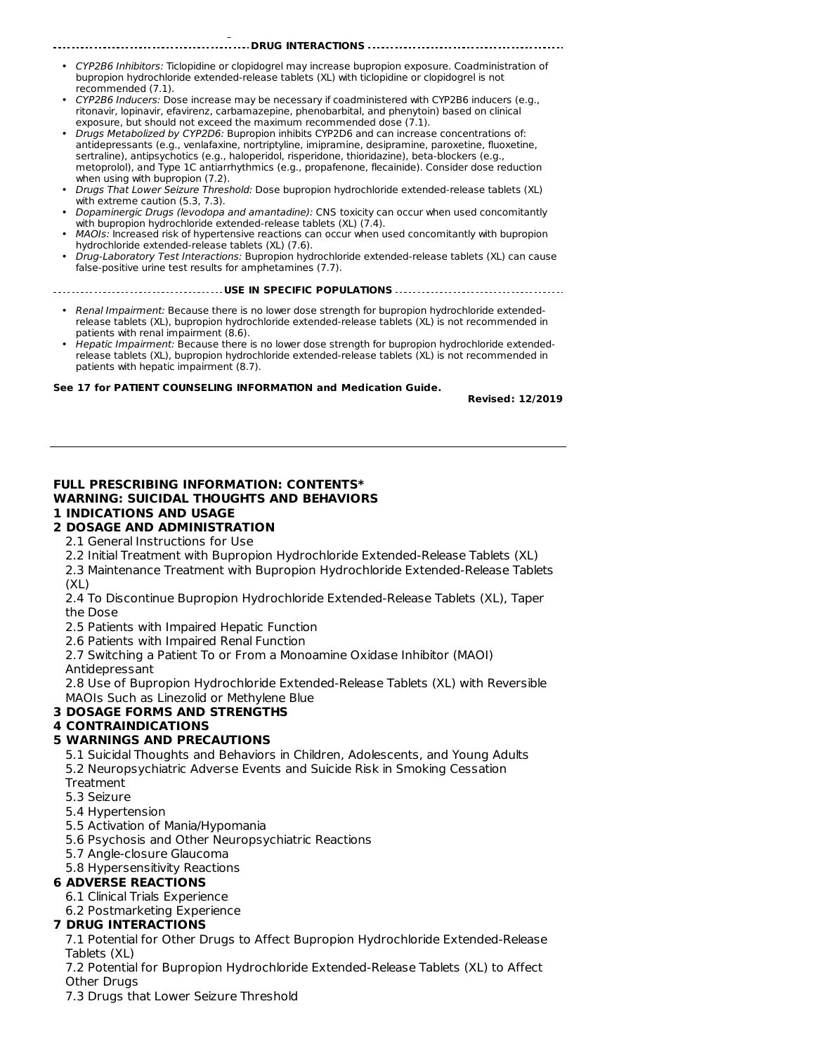• CYP2B6 Inhibitors: Ticlopidine or clopidogrel may increase bupropion exposure. Coadministration of bupropion hydrochloride extended-release tablets (XL) with ticlopidine or clopidogrel is not recommended (7.1).

**DRUG INTERACTIONS**

- CYP2B6 Inducers: Dose increase may be necessary if coadministered with CYP2B6 inducers (e.g., ritonavir, lopinavir, efavirenz, carbamazepine, phenobarbital, and phenytoin) based on clinical exposure, but should not exceed the maximum recommended dose (7.1).
- Drugs Metabolized by CYP2D6: Bupropion inhibits CYP2D6 and can increase concentrations of: antidepressants (e.g., venlafaxine, nortriptyline, imipramine, desipramine, paroxetine, fluoxetine, sertraline), antipsychotics (e.g., haloperidol, risperidone, thioridazine), beta-blockers (e.g., metoprolol), and Type 1C antiarrhythmics (e.g., propafenone, flecainide). Consider dose reduction when using with bupropion (7.2).
- Drugs That Lower Seizure Threshold: Dose bupropion hydrochloride extended-release tablets (XL) with extreme caution (5.3, 7.3).
- Dopaminergic Drugs (levodopa and amantadine): CNS toxicity can occur when used concomitantly with bupropion hydrochloride extended-release tablets (XL) (7.4).
- MAOIs: Increased risk of hypertensive reactions can occur when used concomitantly with bupropion hydrochloride extended-release tablets (XL) (7.6).
- Drug-Laboratory Test Interactions: Bupropion hydrochloride extended-release tablets (XL) can cause false-positive urine test results for amphetamines (7.7).

**USE IN SPECIFIC POPULATIONS**

- Renal Impairment: Because there is no lower dose strength for bupropion hydrochloride extendedrelease tablets (XL), bupropion hydrochloride extended-release tablets (XL) is not recommended in patients with renal impairment (8.6).
- Hepatic Impairment: Because there is no lower dose strength for bupropion hydrochloride extendedrelease tablets (XL), bupropion hydrochloride extended-release tablets (XL) is not recommended in patients with hepatic impairment (8.7).

#### **See 17 for PATIENT COUNSELING INFORMATION and Medication Guide.**

**Revised: 12/2019**

## **FULL PRESCRIBING INFORMATION: CONTENTS\* WARNING: SUICIDAL THOUGHTS AND BEHAVIORS 1 INDICATIONS AND USAGE**

# **2 DOSAGE AND ADMINISTRATION**

**at 1-800-FDA-1088 or www.fda.gov/medwatch**.

2.1 General Instructions for Use

2.2 Initial Treatment with Bupropion Hydrochloride Extended-Release Tablets (XL)

2.3 Maintenance Treatment with Bupropion Hydrochloride Extended-Release Tablets (XL)

2.4 To Discontinue Bupropion Hydrochloride Extended-Release Tablets (XL), Taper the Dose

2.5 Patients with Impaired Hepatic Function

2.6 Patients with Impaired Renal Function

2.7 Switching a Patient To or From a Monoamine Oxidase Inhibitor (MAOI)

Antidepressant

2.8 Use of Bupropion Hydrochloride Extended-Release Tablets (XL) with Reversible MAOIs Such as Linezolid or Methylene Blue

## **3 DOSAGE FORMS AND STRENGTHS**

## **4 CONTRAINDICATIONS**

## **5 WARNINGS AND PRECAUTIONS**

5.1 Suicidal Thoughts and Behaviors in Children, Adolescents, and Young Adults 5.2 Neuropsychiatric Adverse Events and Suicide Risk in Smoking Cessation **Treatment** 

- 5.3 Seizure
- 5.4 Hypertension
- 5.5 Activation of Mania/Hypomania
- 5.6 Psychosis and Other Neuropsychiatric Reactions
- 5.7 Angle-closure Glaucoma
- 5.8 Hypersensitivity Reactions

## **6 ADVERSE REACTIONS**

- 6.1 Clinical Trials Experience
- 6.2 Postmarketing Experience

## **7 DRUG INTERACTIONS**

7.1 Potential for Other Drugs to Affect Bupropion Hydrochloride Extended-Release Tablets (XL)

7.2 Potential for Bupropion Hydrochloride Extended-Release Tablets (XL) to Affect Other Drugs

7.3 Drugs that Lower Seizure Threshold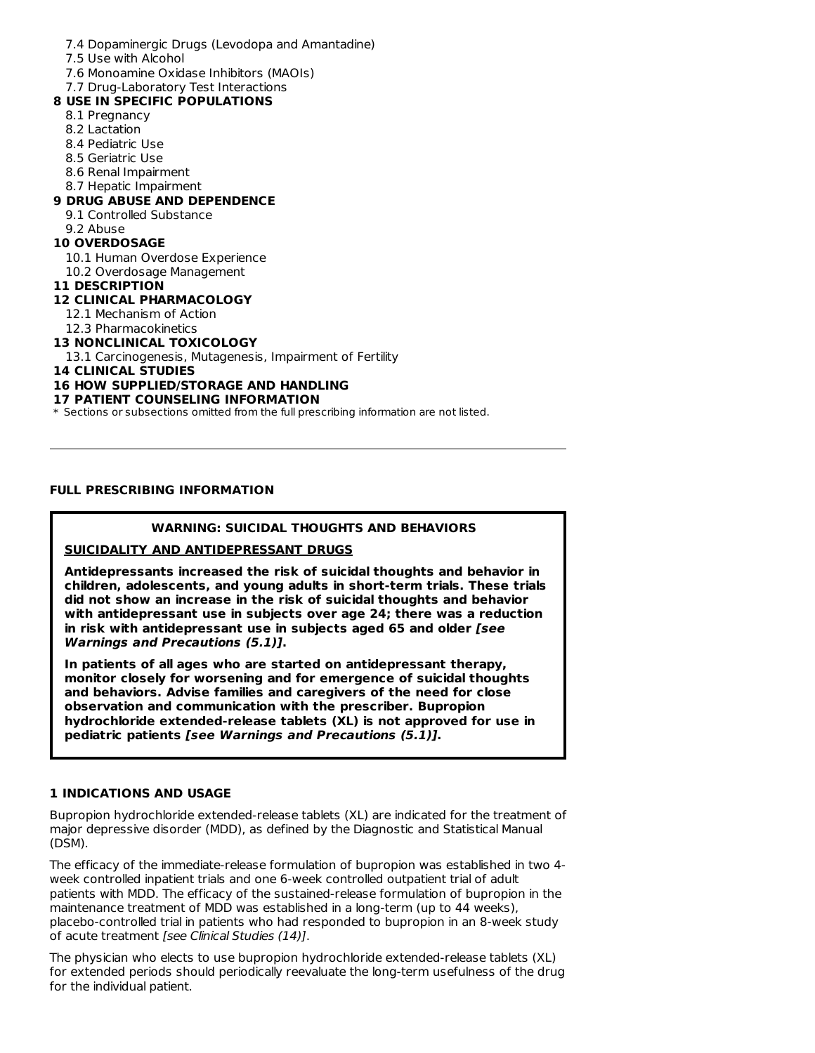## 7.4 Dopaminergic Drugs (Levodopa and Amantadine)

- 7.5 Use with Alcohol
- 7.6 Monoamine Oxidase Inhibitors (MAOIs)
- 7.7 Drug-Laboratory Test Interactions

## **8 USE IN SPECIFIC POPULATIONS**

- 8.1 Pregnancy
- 8.2 Lactation
- 8.4 Pediatric Use
- 8.5 Geriatric Use
- 8.6 Renal Impairment
- 8.7 Hepatic Impairment

## **9 DRUG ABUSE AND DEPENDENCE**

- 9.1 Controlled Substance
- 9.2 Abuse

## **10 OVERDOSAGE**

- 10.1 Human Overdose Experience
- 10.2 Overdosage Management
- **11 DESCRIPTION**
- **12 CLINICAL PHARMACOLOGY**
	- 12.1 Mechanism of Action
- 12.3 Pharmacokinetics

## **13 NONCLINICAL TOXICOLOGY**

13.1 Carcinogenesis, Mutagenesis, Impairment of Fertility

**14 CLINICAL STUDIES**

## **16 HOW SUPPLIED/STORAGE AND HANDLING**

#### **17 PATIENT COUNSELING INFORMATION**

 $\ast$  Sections or subsections omitted from the full prescribing information are not listed.

## **FULL PRESCRIBING INFORMATION**

## **WARNING: SUICIDAL THOUGHTS AND BEHAVIORS**

## **SUICIDALITY AND ANTIDEPRESSANT DRUGS**

**Antidepressants increased the risk of suicidal thoughts and behavior in children, adolescents, and young adults in short-term trials. These trials did not show an increase in the risk of suicidal thoughts and behavior with antidepressant use in subjects over age 24; there was a reduction in risk with antidepressant use in subjects aged 65 and older [see Warnings and Precautions (5.1)].**

**In patients of all ages who are started on antidepressant therapy, monitor closely for worsening and for emergence of suicidal thoughts and behaviors. Advise families and caregivers of the need for close observation and communication with the prescriber. Bupropion hydrochloride extended-release tablets (XL) is not approved for use in pediatric patients [see Warnings and Precautions (5.1)].**

## **1 INDICATIONS AND USAGE**

Bupropion hydrochloride extended-release tablets (XL) are indicated for the treatment of major depressive disorder (MDD), as defined by the Diagnostic and Statistical Manual (DSM).

The efficacy of the immediate-release formulation of bupropion was established in two 4 week controlled inpatient trials and one 6-week controlled outpatient trial of adult patients with MDD. The efficacy of the sustained-release formulation of bupropion in the maintenance treatment of MDD was established in a long-term (up to 44 weeks), placebo-controlled trial in patients who had responded to bupropion in an 8-week study of acute treatment [see Clinical Studies (14)].

The physician who elects to use bupropion hydrochloride extended-release tablets (XL) for extended periods should periodically reevaluate the long-term usefulness of the drug for the individual patient.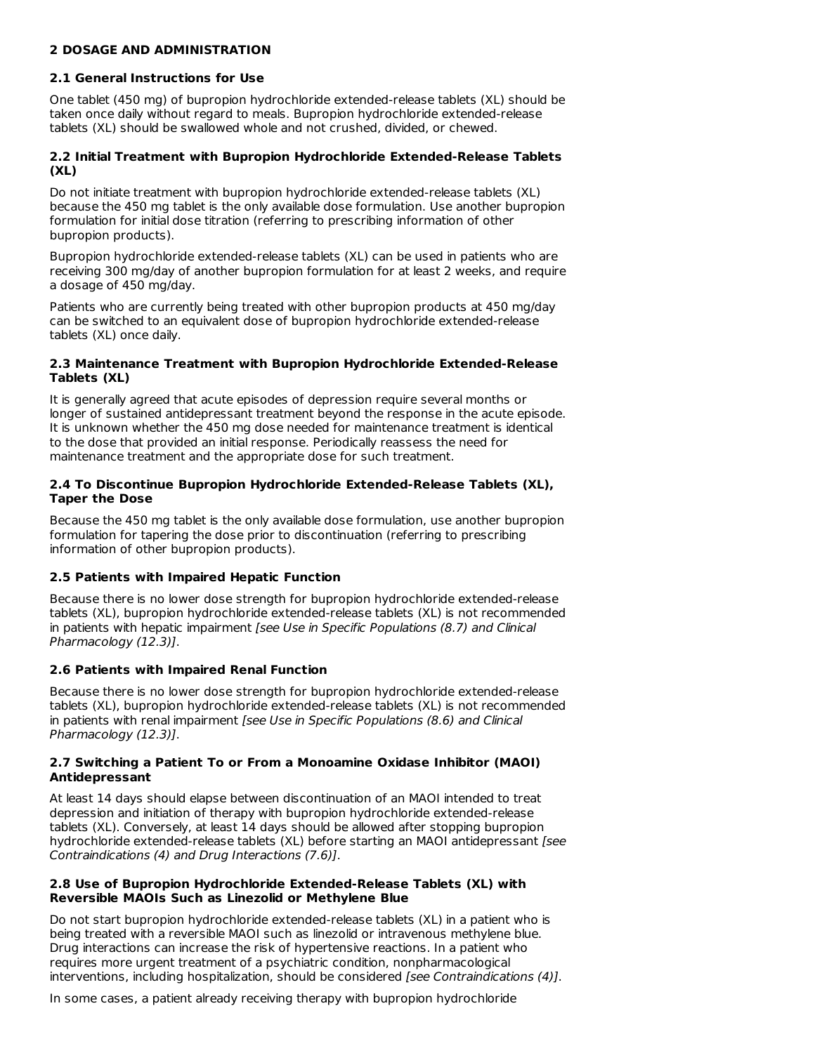#### **2 DOSAGE AND ADMINISTRATION**

#### **2.1 General Instructions for Use**

One tablet (450 mg) of bupropion hydrochloride extended-release tablets (XL) should be taken once daily without regard to meals. Bupropion hydrochloride extended-release tablets (XL) should be swallowed whole and not crushed, divided, or chewed.

## **2.2 Initial Treatment with Bupropion Hydrochloride Extended-Release Tablets (XL)**

Do not initiate treatment with bupropion hydrochloride extended-release tablets (XL) because the 450 mg tablet is the only available dose formulation. Use another bupropion formulation for initial dose titration (referring to prescribing information of other bupropion products).

Bupropion hydrochloride extended-release tablets (XL) can be used in patients who are receiving 300 mg/day of another bupropion formulation for at least 2 weeks, and require a dosage of 450 mg/day.

Patients who are currently being treated with other bupropion products at 450 mg/day can be switched to an equivalent dose of bupropion hydrochloride extended-release tablets (XL) once daily.

#### **2.3 Maintenance Treatment with Bupropion Hydrochloride Extended-Release Tablets (XL)**

It is generally agreed that acute episodes of depression require several months or longer of sustained antidepressant treatment beyond the response in the acute episode. It is unknown whether the 450 mg dose needed for maintenance treatment is identical to the dose that provided an initial response. Periodically reassess the need for maintenance treatment and the appropriate dose for such treatment.

#### **2.4 To Discontinue Bupropion Hydrochloride Extended-Release Tablets (XL), Taper the Dose**

Because the 450 mg tablet is the only available dose formulation, use another bupropion formulation for tapering the dose prior to discontinuation (referring to prescribing information of other bupropion products).

## **2.5 Patients with Impaired Hepatic Function**

Because there is no lower dose strength for bupropion hydrochloride extended-release tablets (XL), bupropion hydrochloride extended-release tablets (XL) is not recommended in patients with hepatic impairment [see Use in Specific Populations (8.7) and Clinical Pharmacology (12.3)].

## **2.6 Patients with Impaired Renal Function**

Because there is no lower dose strength for bupropion hydrochloride extended-release tablets (XL), bupropion hydrochloride extended-release tablets (XL) is not recommended in patients with renal impairment [see Use in Specific Populations (8.6) and Clinical Pharmacology (12.3)].

#### **2.7 Switching a Patient To or From a Monoamine Oxidase Inhibitor (MAOI) Antidepressant**

At least 14 days should elapse between discontinuation of an MAOI intended to treat depression and initiation of therapy with bupropion hydrochloride extended-release tablets (XL). Conversely, at least 14 days should be allowed after stopping bupropion hydrochloride extended-release tablets (XL) before starting an MAOI antidepressant [see Contraindications (4) and Drug Interactions (7.6)].

#### **2.8 Use of Bupropion Hydrochloride Extended-Release Tablets (XL) with Reversible MAOIs Such as Linezolid or Methylene Blue**

Do not start bupropion hydrochloride extended-release tablets (XL) in a patient who is being treated with a reversible MAOI such as linezolid or intravenous methylene blue. Drug interactions can increase the risk of hypertensive reactions. In a patient who requires more urgent treatment of a psychiatric condition, nonpharmacological interventions, including hospitalization, should be considered [see Contraindications (4)].

In some cases, a patient already receiving therapy with bupropion hydrochloride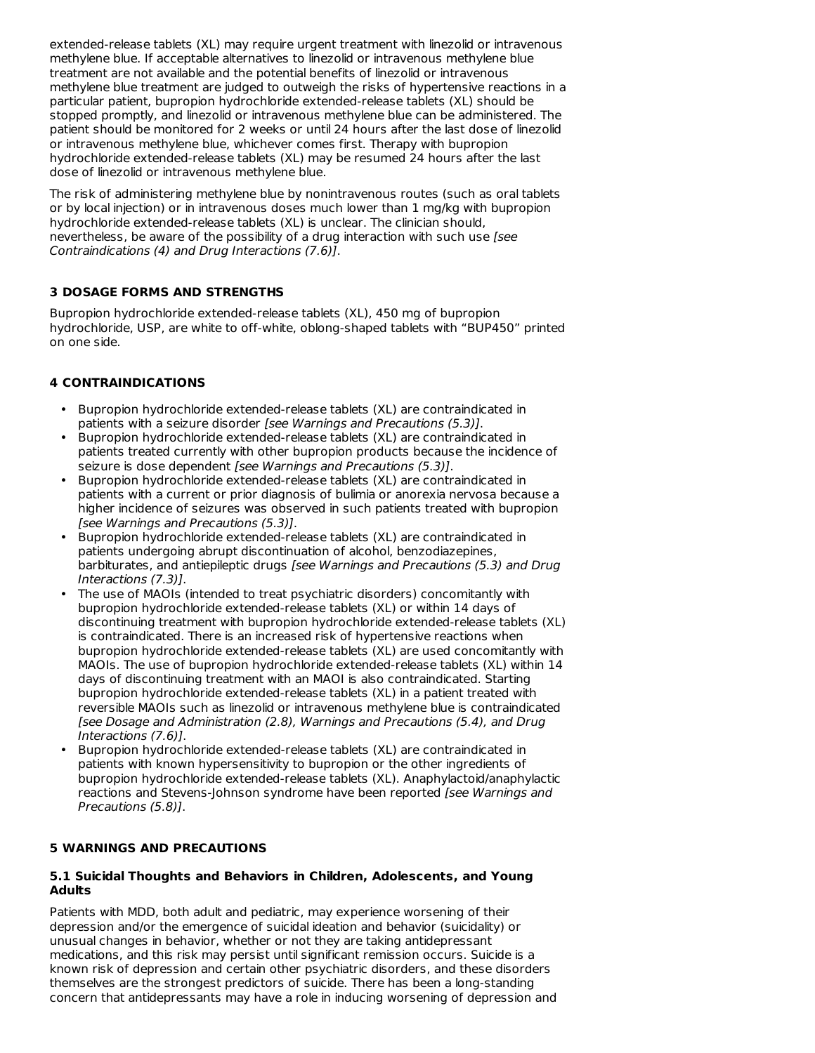extended-release tablets (XL) may require urgent treatment with linezolid or intravenous methylene blue. If acceptable alternatives to linezolid or intravenous methylene blue treatment are not available and the potential benefits of linezolid or intravenous methylene blue treatment are judged to outweigh the risks of hypertensive reactions in a particular patient, bupropion hydrochloride extended-release tablets (XL) should be stopped promptly, and linezolid or intravenous methylene blue can be administered. The patient should be monitored for 2 weeks or until 24 hours after the last dose of linezolid or intravenous methylene blue, whichever comes first. Therapy with bupropion hydrochloride extended-release tablets (XL) may be resumed 24 hours after the last dose of linezolid or intravenous methylene blue.

The risk of administering methylene blue by nonintravenous routes (such as oral tablets or by local injection) or in intravenous doses much lower than 1 mg/kg with bupropion hydrochloride extended-release tablets (XL) is unclear. The clinician should, nevertheless, be aware of the possibility of a drug interaction with such use [see Contraindications (4) and Drug Interactions (7.6)].

## **3 DOSAGE FORMS AND STRENGTHS**

Bupropion hydrochloride extended-release tablets (XL), 450 mg of bupropion hydrochloride, USP, are white to off-white, oblong-shaped tablets with "BUP450" printed on one side.

## **4 CONTRAINDICATIONS**

- Bupropion hydrochloride extended-release tablets (XL) are contraindicated in patients with a seizure disorder [see Warnings and Precautions (5.3)].
- Bupropion hydrochloride extended-release tablets (XL) are contraindicated in patients treated currently with other bupropion products because the incidence of seizure is dose dependent [see Warnings and Precautions (5.3)].
- Bupropion hydrochloride extended-release tablets (XL) are contraindicated in patients with a current or prior diagnosis of bulimia or anorexia nervosa because a higher incidence of seizures was observed in such patients treated with bupropion [see Warnings and Precautions (5.3)].
- Bupropion hydrochloride extended-release tablets (XL) are contraindicated in patients undergoing abrupt discontinuation of alcohol, benzodiazepines, barbiturates, and antiepileptic drugs [see Warnings and Precautions (5.3) and Drug Interactions (7.3)].
- The use of MAOIs (intended to treat psychiatric disorders) concomitantly with bupropion hydrochloride extended-release tablets (XL) or within 14 days of discontinuing treatment with bupropion hydrochloride extended-release tablets (XL) is contraindicated. There is an increased risk of hypertensive reactions when bupropion hydrochloride extended-release tablets (XL) are used concomitantly with MAOIs. The use of bupropion hydrochloride extended-release tablets (XL) within 14 days of discontinuing treatment with an MAOI is also contraindicated. Starting bupropion hydrochloride extended-release tablets (XL) in a patient treated with reversible MAOIs such as linezolid or intravenous methylene blue is contraindicated [see Dosage and Administration (2.8), Warnings and Precautions (5.4), and Drug Interactions (7.6)].
- Bupropion hydrochloride extended-release tablets (XL) are contraindicated in patients with known hypersensitivity to bupropion or the other ingredients of bupropion hydrochloride extended-release tablets (XL). Anaphylactoid/anaphylactic reactions and Stevens-Johnson syndrome have been reported *[see Warnings and* Precautions (5.8)].

## **5 WARNINGS AND PRECAUTIONS**

## **5.1 Suicidal Thoughts and Behaviors in Children, Adolescents, and Young Adults**

Patients with MDD, both adult and pediatric, may experience worsening of their depression and/or the emergence of suicidal ideation and behavior (suicidality) or unusual changes in behavior, whether or not they are taking antidepressant medications, and this risk may persist until significant remission occurs. Suicide is a known risk of depression and certain other psychiatric disorders, and these disorders themselves are the strongest predictors of suicide. There has been a long-standing concern that antidepressants may have a role in inducing worsening of depression and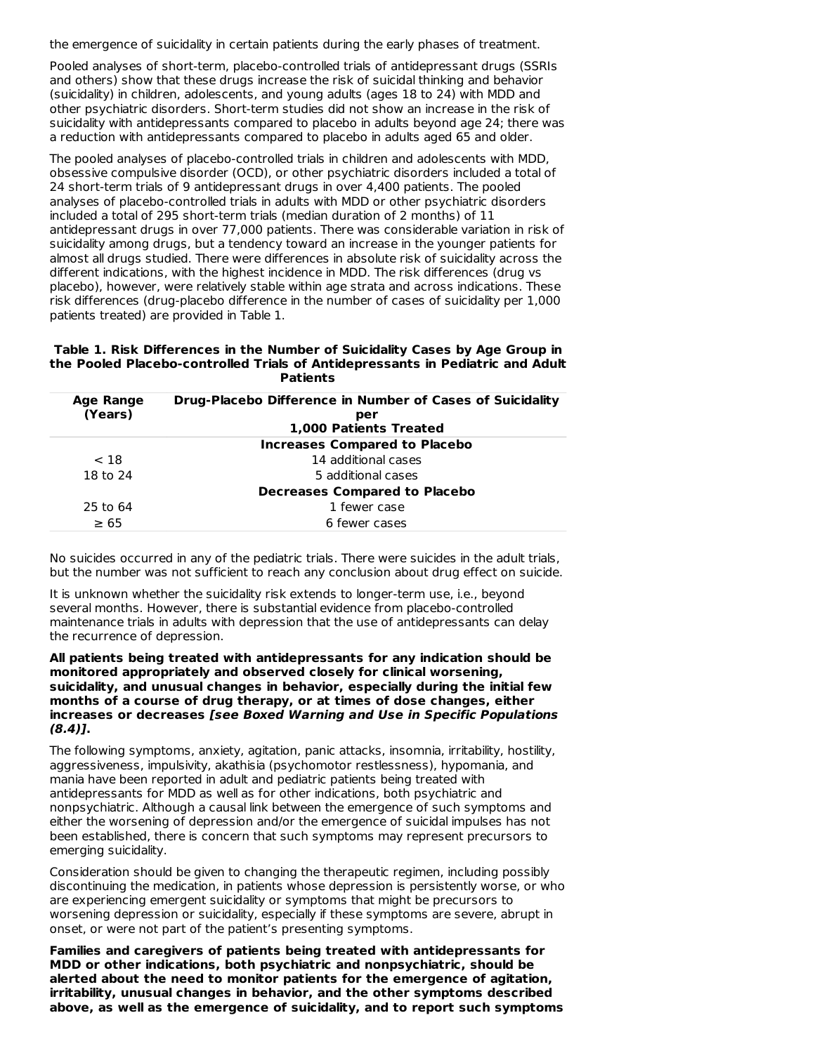the emergence of suicidality in certain patients during the early phases of treatment.

Pooled analyses of short-term, placebo-controlled trials of antidepressant drugs (SSRIs and others) show that these drugs increase the risk of suicidal thinking and behavior (suicidality) in children, adolescents, and young adults (ages 18 to 24) with MDD and other psychiatric disorders. Short-term studies did not show an increase in the risk of suicidality with antidepressants compared to placebo in adults beyond age 24; there was a reduction with antidepressants compared to placebo in adults aged 65 and older.

The pooled analyses of placebo-controlled trials in children and adolescents with MDD, obsessive compulsive disorder (OCD), or other psychiatric disorders included a total of 24 short-term trials of 9 antidepressant drugs in over 4,400 patients. The pooled analyses of placebo-controlled trials in adults with MDD or other psychiatric disorders included a total of 295 short-term trials (median duration of 2 months) of 11 antidepressant drugs in over 77,000 patients. There was considerable variation in risk of suicidality among drugs, but a tendency toward an increase in the younger patients for almost all drugs studied. There were differences in absolute risk of suicidality across the different indications, with the highest incidence in MDD. The risk differences (drug vs placebo), however, were relatively stable within age strata and across indications. These risk differences (drug-placebo difference in the number of cases of suicidality per 1,000 patients treated) are provided in Table 1.

#### **Table 1. Risk Differences in the Number of Suicidality Cases by Age Group in the Pooled Placebo-controlled Trials of Antidepressants in Pediatric and Adult Patients**

| <b>Age Range</b> | <b>Drug-Placebo Difference in Number of Cases of Suicidality</b> |
|------------------|------------------------------------------------------------------|
| (Years)          | per                                                              |
|                  | 1,000 Patients Treated                                           |
|                  | <b>Increases Compared to Placebo</b>                             |
| < 18             | 14 additional cases                                              |
| 18 to 24         | 5 additional cases                                               |
|                  | <b>Decreases Compared to Placebo</b>                             |
| 25 to 64         | 1 fewer case                                                     |
| $\geq 65$        | 6 fewer cases                                                    |

No suicides occurred in any of the pediatric trials. There were suicides in the adult trials, but the number was not sufficient to reach any conclusion about drug effect on suicide.

It is unknown whether the suicidality risk extends to longer-term use, i.e., beyond several months. However, there is substantial evidence from placebo-controlled maintenance trials in adults with depression that the use of antidepressants can delay the recurrence of depression.

#### **All patients being treated with antidepressants for any indication should be monitored appropriately and observed closely for clinical worsening, suicidality, and unusual changes in behavior, especially during the initial few months of a course of drug therapy, or at times of dose changes, either increases or decreases [see Boxed Warning and Use in Specific Populations (8.4)].**

The following symptoms, anxiety, agitation, panic attacks, insomnia, irritability, hostility, aggressiveness, impulsivity, akathisia (psychomotor restlessness), hypomania, and mania have been reported in adult and pediatric patients being treated with antidepressants for MDD as well as for other indications, both psychiatric and nonpsychiatric. Although a causal link between the emergence of such symptoms and either the worsening of depression and/or the emergence of suicidal impulses has not been established, there is concern that such symptoms may represent precursors to emerging suicidality.

Consideration should be given to changing the therapeutic regimen, including possibly discontinuing the medication, in patients whose depression is persistently worse, or who are experiencing emergent suicidality or symptoms that might be precursors to worsening depression or suicidality, especially if these symptoms are severe, abrupt in onset, or were not part of the patient's presenting symptoms.

**Families and caregivers of patients being treated with antidepressants for MDD or other indications, both psychiatric and nonpsychiatric, should be alerted about the need to monitor patients for the emergence of agitation, irritability, unusual changes in behavior, and the other symptoms described above, as well as the emergence of suicidality, and to report such symptoms**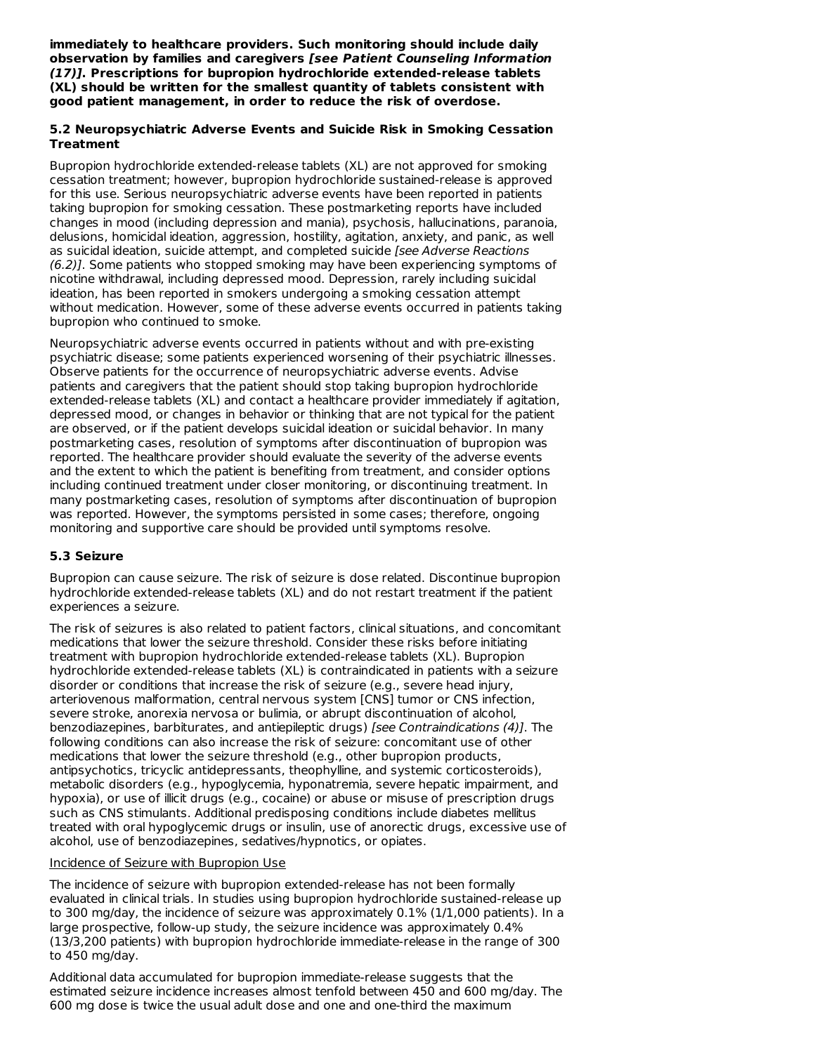**immediately to healthcare providers. Such monitoring should include daily observation by families and caregivers [see Patient Counseling Information (17)]. Prescriptions for bupropion hydrochloride extended-release tablets (XL) should be written for the smallest quantity of tablets consistent with good patient management, in order to reduce the risk of overdose.**

#### **5.2 Neuropsychiatric Adverse Events and Suicide Risk in Smoking Cessation Treatment**

Bupropion hydrochloride extended-release tablets (XL) are not approved for smoking cessation treatment; however, bupropion hydrochloride sustained-release is approved for this use. Serious neuropsychiatric adverse events have been reported in patients taking bupropion for smoking cessation. These postmarketing reports have included changes in mood (including depression and mania), psychosis, hallucinations, paranoia, delusions, homicidal ideation, aggression, hostility, agitation, anxiety, and panic, as well as suicidal ideation, suicide attempt, and completed suicide [see Adverse Reactions (6.2)]. Some patients who stopped smoking may have been experiencing symptoms of nicotine withdrawal, including depressed mood. Depression, rarely including suicidal ideation, has been reported in smokers undergoing a smoking cessation attempt without medication. However, some of these adverse events occurred in patients taking bupropion who continued to smoke.

Neuropsychiatric adverse events occurred in patients without and with pre-existing psychiatric disease; some patients experienced worsening of their psychiatric illnesses. Observe patients for the occurrence of neuropsychiatric adverse events. Advise patients and caregivers that the patient should stop taking bupropion hydrochloride extended-release tablets (XL) and contact a healthcare provider immediately if agitation, depressed mood, or changes in behavior or thinking that are not typical for the patient are observed, or if the patient develops suicidal ideation or suicidal behavior. In many postmarketing cases, resolution of symptoms after discontinuation of bupropion was reported. The healthcare provider should evaluate the severity of the adverse events and the extent to which the patient is benefiting from treatment, and consider options including continued treatment under closer monitoring, or discontinuing treatment. In many postmarketing cases, resolution of symptoms after discontinuation of bupropion was reported. However, the symptoms persisted in some cases; therefore, ongoing monitoring and supportive care should be provided until symptoms resolve.

## **5.3 Seizure**

Bupropion can cause seizure. The risk of seizure is dose related. Discontinue bupropion hydrochloride extended-release tablets (XL) and do not restart treatment if the patient experiences a seizure.

The risk of seizures is also related to patient factors, clinical situations, and concomitant medications that lower the seizure threshold. Consider these risks before initiating treatment with bupropion hydrochloride extended-release tablets (XL). Bupropion hydrochloride extended-release tablets (XL) is contraindicated in patients with a seizure disorder or conditions that increase the risk of seizure (e.g., severe head injury, arteriovenous malformation, central nervous system [CNS] tumor or CNS infection, severe stroke, anorexia nervosa or bulimia, or abrupt discontinuation of alcohol, benzodiazepines, barbiturates, and antiepileptic drugs) [see Contraindications (4)]. The following conditions can also increase the risk of seizure: concomitant use of other medications that lower the seizure threshold (e.g., other bupropion products, antipsychotics, tricyclic antidepressants, theophylline, and systemic corticosteroids), metabolic disorders (e.g., hypoglycemia, hyponatremia, severe hepatic impairment, and hypoxia), or use of illicit drugs (e.g., cocaine) or abuse or misuse of prescription drugs such as CNS stimulants. Additional predisposing conditions include diabetes mellitus treated with oral hypoglycemic drugs or insulin, use of anorectic drugs, excessive use of alcohol, use of benzodiazepines, sedatives/hypnotics, or opiates.

## Incidence of Seizure with Bupropion Use

The incidence of seizure with bupropion extended-release has not been formally evaluated in clinical trials. In studies using bupropion hydrochloride sustained-release up to 300 mg/day, the incidence of seizure was approximately 0.1% (1/1,000 patients). In a large prospective, follow-up study, the seizure incidence was approximately 0.4% (13/3,200 patients) with bupropion hydrochloride immediate-release in the range of 300 to 450 mg/day.

Additional data accumulated for bupropion immediate-release suggests that the estimated seizure incidence increases almost tenfold between 450 and 600 mg/day. The 600 mg dose is twice the usual adult dose and one and one-third the maximum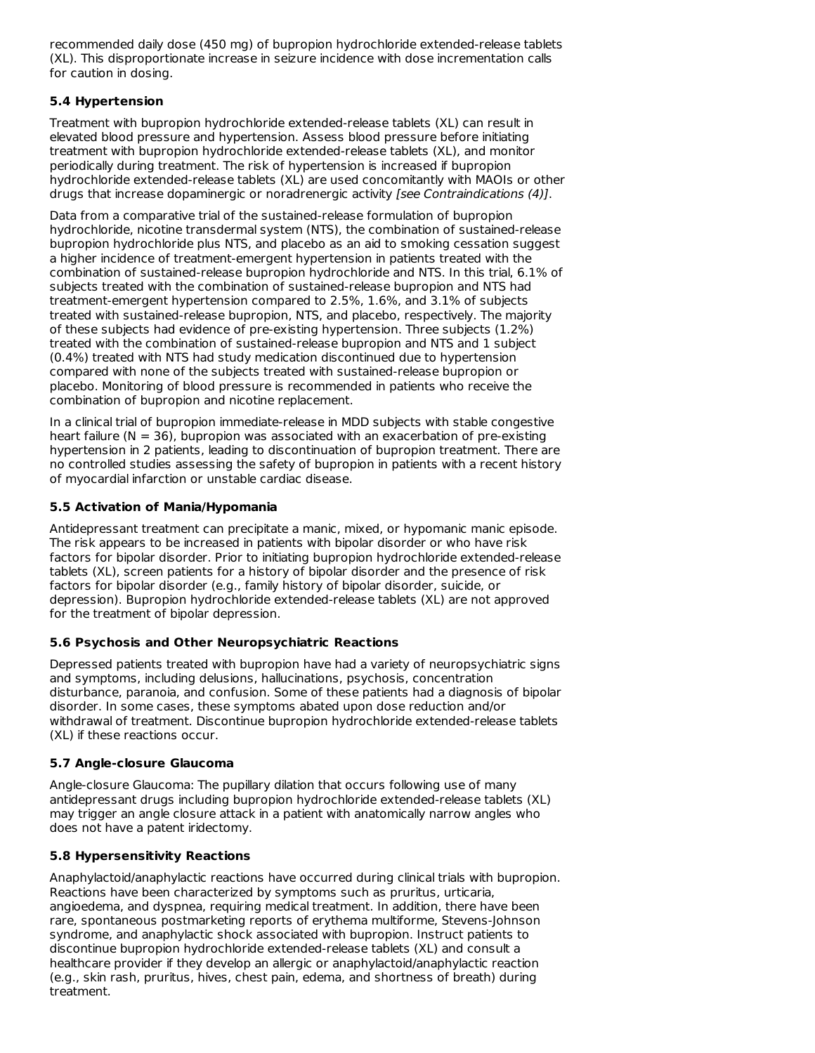recommended daily dose (450 mg) of bupropion hydrochloride extended-release tablets (XL). This disproportionate increase in seizure incidence with dose incrementation calls for caution in dosing.

## **5.4 Hypertension**

Treatment with bupropion hydrochloride extended-release tablets (XL) can result in elevated blood pressure and hypertension. Assess blood pressure before initiating treatment with bupropion hydrochloride extended-release tablets (XL), and monitor periodically during treatment. The risk of hypertension is increased if bupropion hydrochloride extended-release tablets (XL) are used concomitantly with MAOIs or other drugs that increase dopaminergic or noradrenergic activity [see Contraindications (4)].

Data from a comparative trial of the sustained-release formulation of bupropion hydrochloride, nicotine transdermal system (NTS), the combination of sustained-release bupropion hydrochloride plus NTS, and placebo as an aid to smoking cessation suggest a higher incidence of treatment-emergent hypertension in patients treated with the combination of sustained-release bupropion hydrochloride and NTS. In this trial, 6.1% of subjects treated with the combination of sustained-release bupropion and NTS had treatment-emergent hypertension compared to 2.5%, 1.6%, and 3.1% of subjects treated with sustained-release bupropion, NTS, and placebo, respectively. The majority of these subjects had evidence of pre-existing hypertension. Three subjects (1.2%) treated with the combination of sustained-release bupropion and NTS and 1 subject (0.4%) treated with NTS had study medication discontinued due to hypertension compared with none of the subjects treated with sustained-release bupropion or placebo. Monitoring of blood pressure is recommended in patients who receive the combination of bupropion and nicotine replacement.

In a clinical trial of bupropion immediate-release in MDD subjects with stable congestive heart failure ( $N = 36$ ), bupropion was associated with an exacerbation of pre-existing hypertension in 2 patients, leading to discontinuation of bupropion treatment. There are no controlled studies assessing the safety of bupropion in patients with a recent history of myocardial infarction or unstable cardiac disease.

## **5.5 Activation of Mania/Hypomania**

Antidepressant treatment can precipitate a manic, mixed, or hypomanic manic episode. The risk appears to be increased in patients with bipolar disorder or who have risk factors for bipolar disorder. Prior to initiating bupropion hydrochloride extended-release tablets (XL), screen patients for a history of bipolar disorder and the presence of risk factors for bipolar disorder (e.g., family history of bipolar disorder, suicide, or depression). Bupropion hydrochloride extended-release tablets (XL) are not approved for the treatment of bipolar depression.

## **5.6 Psychosis and Other Neuropsychiatric Reactions**

Depressed patients treated with bupropion have had a variety of neuropsychiatric signs and symptoms, including delusions, hallucinations, psychosis, concentration disturbance, paranoia, and confusion. Some of these patients had a diagnosis of bipolar disorder. In some cases, these symptoms abated upon dose reduction and/or withdrawal of treatment. Discontinue bupropion hydrochloride extended-release tablets (XL) if these reactions occur.

## **5.7 Angle-closure Glaucoma**

Angle-closure Glaucoma: The pupillary dilation that occurs following use of many antidepressant drugs including bupropion hydrochloride extended-release tablets (XL) may trigger an angle closure attack in a patient with anatomically narrow angles who does not have a patent iridectomy.

## **5.8 Hypersensitivity Reactions**

Anaphylactoid/anaphylactic reactions have occurred during clinical trials with bupropion. Reactions have been characterized by symptoms such as pruritus, urticaria, angioedema, and dyspnea, requiring medical treatment. In addition, there have been rare, spontaneous postmarketing reports of erythema multiforme, Stevens-Johnson syndrome, and anaphylactic shock associated with bupropion. Instruct patients to discontinue bupropion hydrochloride extended-release tablets (XL) and consult a healthcare provider if they develop an allergic or anaphylactoid/anaphylactic reaction (e.g., skin rash, pruritus, hives, chest pain, edema, and shortness of breath) during treatment.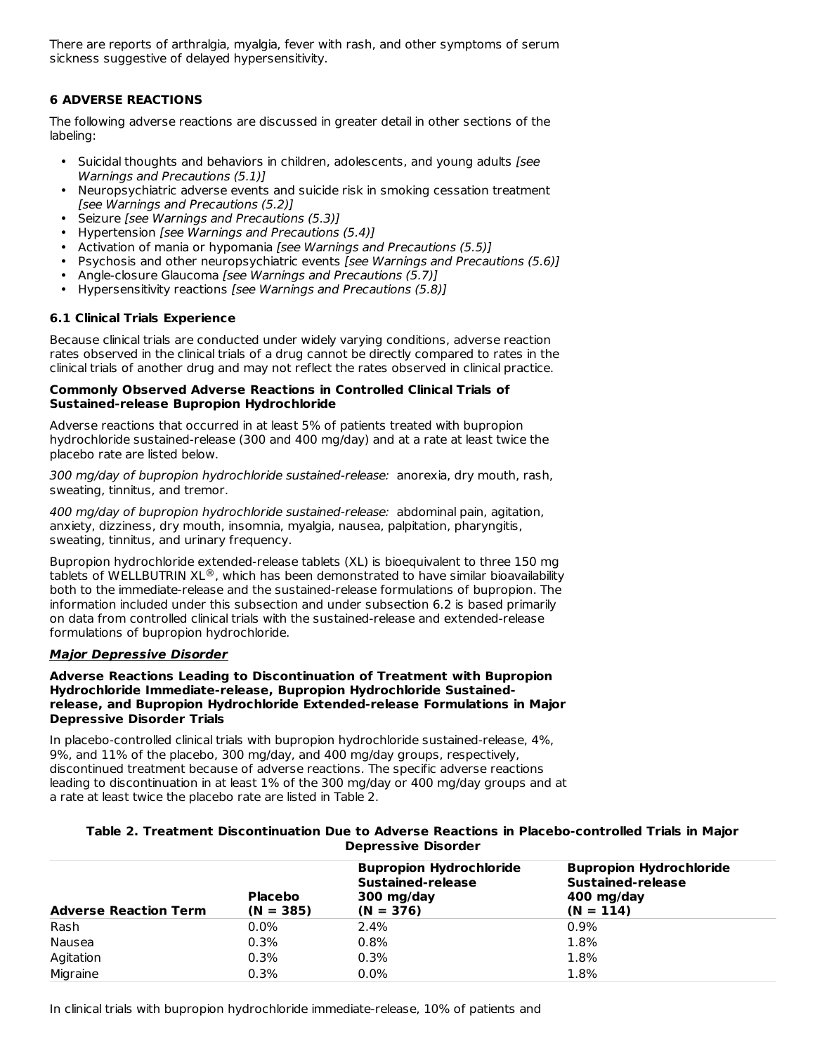There are reports of arthralgia, myalgia, fever with rash, and other symptoms of serum sickness suggestive of delayed hypersensitivity.

## **6 ADVERSE REACTIONS**

The following adverse reactions are discussed in greater detail in other sections of the labeling:

- Suicidal thoughts and behaviors in children, adolescents, and young adults [see Warnings and Precautions (5.1)]
- Neuropsychiatric adverse events and suicide risk in smoking cessation treatment [see Warnings and Precautions (5.2)]
- Seizure [see Warnings and Precautions (5.3)]
- Hypertension [see Warnings and Precautions (5.4)]
- Activation of mania or hypomania [see Warnings and Precautions (5.5)]
- Psychosis and other neuropsychiatric events [see Warnings and Precautions (5.6)]
- Angle-closure Glaucoma [see Warnings and Precautions (5.7)]
- Hypersensitivity reactions [see Warnings and Precautions (5.8)]

## **6.1 Clinical Trials Experience**

Because clinical trials are conducted under widely varying conditions, adverse reaction rates observed in the clinical trials of a drug cannot be directly compared to rates in the clinical trials of another drug and may not reflect the rates observed in clinical practice.

#### **Commonly Observed Adverse Reactions in Controlled Clinical Trials of Sustained-release Bupropion Hydrochloride**

Adverse reactions that occurred in at least 5% of patients treated with bupropion hydrochloride sustained-release (300 and 400 mg/day) and at a rate at least twice the placebo rate are listed below.

300 mg/day of bupropion hydrochloride sustained-release: anorexia, dry mouth, rash, sweating, tinnitus, and tremor.

400 mg/day of bupropion hydrochloride sustained-release: abdominal pain, agitation, anxiety, dizziness, dry mouth, insomnia, myalgia, nausea, palpitation, pharyngitis, sweating, tinnitus, and urinary frequency.

Bupropion hydrochloride extended-release tablets (XL) is bioequivalent to three 150 mg tablets of WELLBUTRIN XL $^{\circledast}$ , which has been demonstrated to have similar bioavailability both to the immediate-release and the sustained-release formulations of bupropion. The information included under this subsection and under subsection 6.2 is based primarily on data from controlled clinical trials with the sustained-release and extended-release formulations of bupropion hydrochloride.

## **Major Depressive Disorder**

#### **Adverse Reactions Leading to Discontinuation of Treatment with Bupropion Hydrochloride Immediate-release, Bupropion Hydrochloride Sustainedrelease, and Bupropion Hydrochloride Extended-release Formulations in Major Depressive Disorder Trials**

In placebo-controlled clinical trials with bupropion hydrochloride sustained-release, 4%, 9%, and 11% of the placebo, 300 mg/day, and 400 mg/day groups, respectively, discontinued treatment because of adverse reactions. The specific adverse reactions leading to discontinuation in at least 1% of the 300 mg/day or 400 mg/day groups and at a rate at least twice the placebo rate are listed in Table 2.

| Table 2. Treatment Discontinuation Due to Adverse Reactions in Placebo-controlled Trials in Major |  |  |  |  |  |
|---------------------------------------------------------------------------------------------------|--|--|--|--|--|
| <b>Depressive Disorder</b>                                                                        |  |  |  |  |  |

| <b>Adverse Reaction Term</b> | <b>Placebo</b><br>$(N = 385)$ | <b>Bupropion Hydrochloride</b><br>Sustained-release<br>300 mg/day<br>$(N = 376)$ | <b>Bupropion Hydrochloride</b><br>Sustained-release<br>400 mg/day<br>$(N = 114)$ |
|------------------------------|-------------------------------|----------------------------------------------------------------------------------|----------------------------------------------------------------------------------|
| Rash                         | $0.0\%$                       | $2.4\%$                                                                          | $0.9\%$                                                                          |
| Nausea                       | 0.3%                          | 0.8%                                                                             | 1.8%                                                                             |
| Agitation                    | 0.3%                          | 0.3%                                                                             | 1.8%                                                                             |
| Migraine                     | 0.3%                          | 0.0%                                                                             | 1.8%                                                                             |

In clinical trials with bupropion hydrochloride immediate-release, 10% of patients and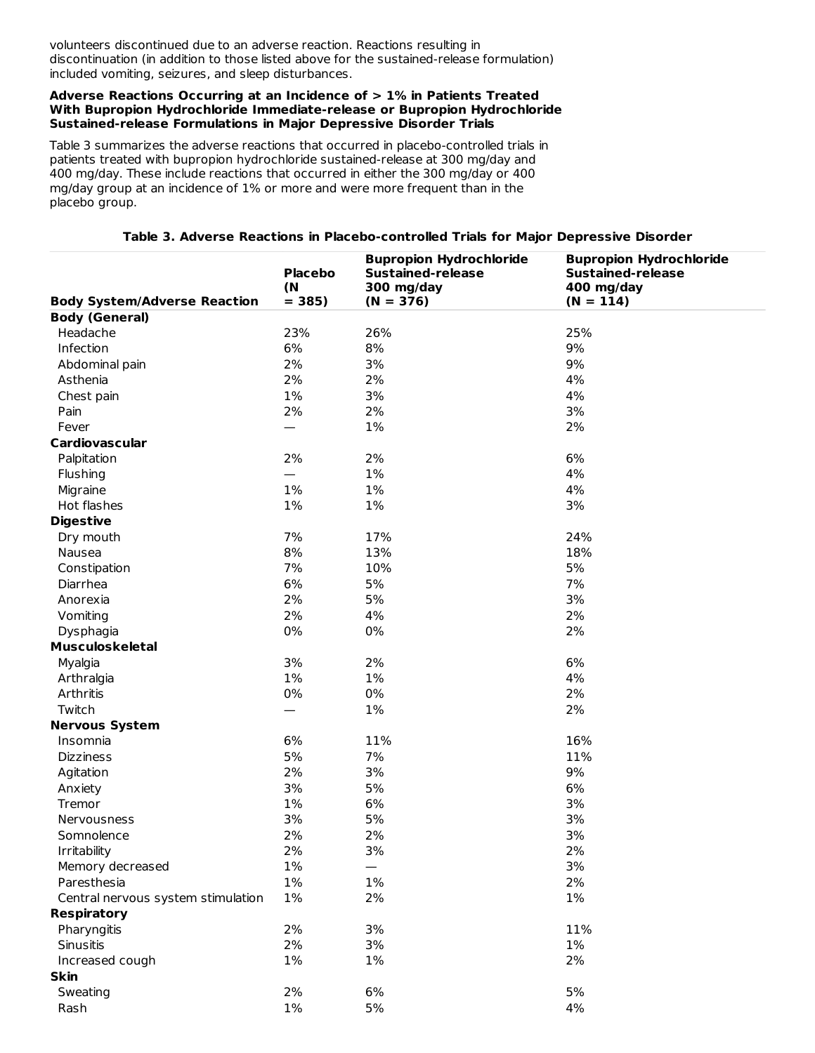volunteers discontinued due to an adverse reaction. Reactions resulting in discontinuation (in addition to those listed above for the sustained-release formulation) included vomiting, seizures, and sleep disturbances.

#### **Adverse Reactions Occurring at an Incidence of > 1% in Patients Treated With Bupropion Hydrochloride Immediate-release or Bupropion Hydrochloride Sustained-release Formulations in Major Depressive Disorder Trials**

Table 3 summarizes the adverse reactions that occurred in placebo-controlled trials in patients treated with bupropion hydrochloride sustained-release at 300 mg/day and 400 mg/day. These include reactions that occurred in either the 300 mg/day or 400 mg/day group at an incidence of 1% or more and were more frequent than in the placebo group.

|  |  | Table 3. Adverse Reactions in Placebo-controlled Trials for Major Depressive Disorder |  |  |  |  |
|--|--|---------------------------------------------------------------------------------------|--|--|--|--|
|--|--|---------------------------------------------------------------------------------------|--|--|--|--|

|                                     | <b>Placebo</b><br>(N | <b>Bupropion Hydrochloride</b><br><b>Sustained-release</b><br>300 mg/day | <b>Bupropion Hydrochloride</b><br><b>Sustained-release</b><br>400 mg/day |
|-------------------------------------|----------------------|--------------------------------------------------------------------------|--------------------------------------------------------------------------|
| <b>Body System/Adverse Reaction</b> | $= 385$              | $(N = 376)$                                                              | $(N = 114)$                                                              |
| <b>Body (General)</b>               |                      |                                                                          |                                                                          |
| Headache                            | 23%                  | 26%                                                                      | 25%                                                                      |
| Infection                           | 6%                   | 8%                                                                       | 9%                                                                       |
| Abdominal pain                      | 2%                   | 3%                                                                       | 9%                                                                       |
| Asthenia                            | 2%                   | 2%                                                                       | 4%                                                                       |
| Chest pain                          | $1\%$                | 3%                                                                       | 4%                                                                       |
| Pain                                | 2%                   | 2%                                                                       | 3%                                                                       |
| Fever                               |                      | 1%                                                                       | 2%                                                                       |
| <b>Cardiovascular</b>               |                      |                                                                          |                                                                          |
| Palpitation                         | 2%                   | 2%                                                                       | 6%                                                                       |
| Flushing                            |                      | 1%                                                                       | 4%                                                                       |
| Migraine                            | 1%                   | 1%                                                                       | 4%                                                                       |
| Hot flashes                         | 1%                   | 1%                                                                       | 3%                                                                       |
| <b>Digestive</b>                    |                      |                                                                          |                                                                          |
| Dry mouth                           | 7%                   | 17%                                                                      | 24%                                                                      |
| Nausea                              | 8%                   | 13%                                                                      | 18%                                                                      |
| Constipation                        | 7%                   | 10%                                                                      | 5%                                                                       |
| Diarrhea                            | 6%                   | 5%                                                                       | 7%                                                                       |
| Anorexia                            | 2%                   | 5%                                                                       | 3%                                                                       |
| Vomiting                            | 2%                   | 4%                                                                       | 2%                                                                       |
| Dysphagia                           | 0%                   | 0%                                                                       | 2%                                                                       |
| <b>Musculoskeletal</b>              |                      |                                                                          |                                                                          |
| Myalgia                             | 3%                   | 2%                                                                       | 6%                                                                       |
| Arthralgia                          | 1%                   | 1%                                                                       | 4%                                                                       |
| Arthritis                           | 0%                   | 0%                                                                       | 2%                                                                       |
| Twitch                              |                      | 1%                                                                       | 2%                                                                       |
| <b>Nervous System</b>               |                      |                                                                          |                                                                          |
| Insomnia                            | 6%                   | 11%                                                                      | 16%                                                                      |
| <b>Dizziness</b>                    | 5%                   | 7%                                                                       | 11%                                                                      |
| Agitation                           | 2%                   | 3%                                                                       | 9%                                                                       |
| Anxiety                             | 3%                   | 5%                                                                       | 6%                                                                       |
| Tremor                              | $1\%$                | 6%                                                                       | 3%                                                                       |
| Nervousness                         | 3%                   | 5%                                                                       | 3%                                                                       |
| Somnolence                          | 2%                   | 2%                                                                       | 3%                                                                       |
| Irritability                        | 2%                   | 3%                                                                       | $2\%$                                                                    |
| Memory decreased                    | 1%                   |                                                                          | 3%                                                                       |
| Paresthesia                         | $1\%$                | 1%                                                                       | 2%                                                                       |
| Central nervous system stimulation  | 1%                   | 2%                                                                       | 1%                                                                       |
| <b>Respiratory</b>                  |                      |                                                                          |                                                                          |
| Pharyngitis                         | 2%                   | 3%                                                                       | 11%                                                                      |
| Sinusitis                           | 2%                   | 3%                                                                       | 1%                                                                       |
| Increased cough                     | $1\%$                | 1%                                                                       | 2%                                                                       |
| <b>Skin</b>                         |                      |                                                                          |                                                                          |
| Sweating                            | 2%                   | $6\%$                                                                    | 5%                                                                       |
| Rash                                | $1\%$                | 5%                                                                       | 4%                                                                       |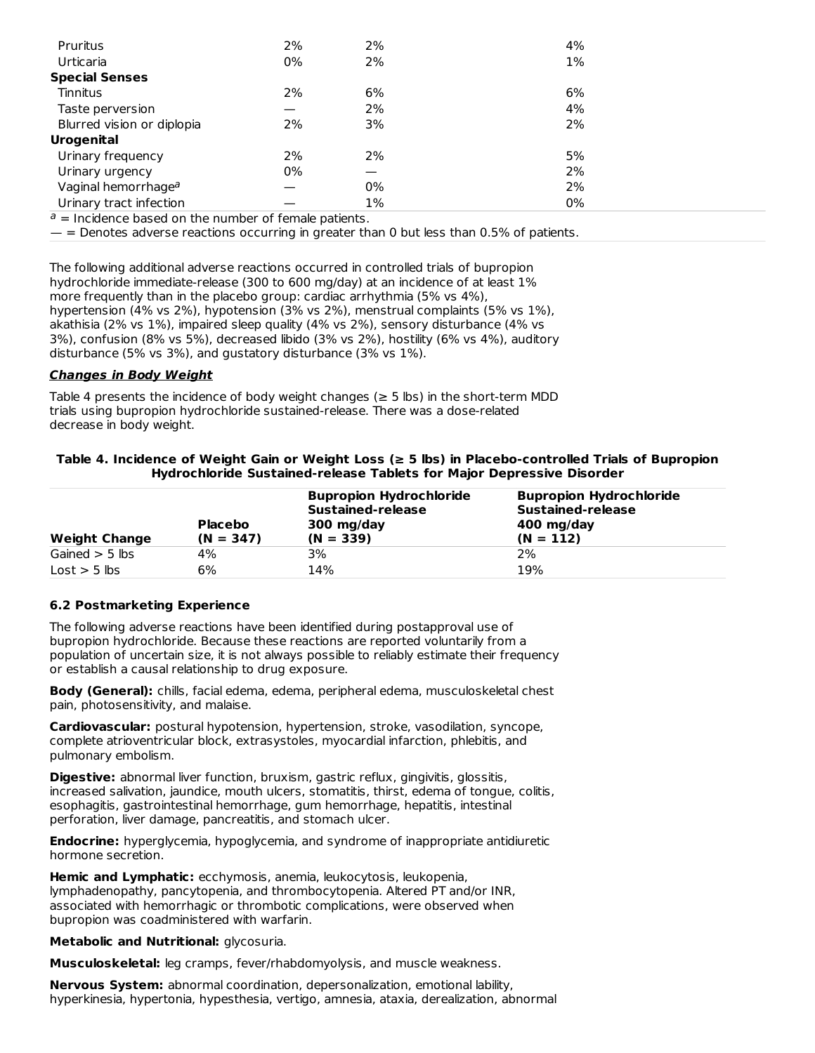| Pruritus                                                                                | 2% | 2% | 4%    |  |
|-----------------------------------------------------------------------------------------|----|----|-------|--|
| Urticaria                                                                               | 0% | 2% | $1\%$ |  |
| <b>Special Senses</b>                                                                   |    |    |       |  |
| Tinnitus                                                                                | 2% | 6% | 6%    |  |
| Taste perversion                                                                        |    | 2% | 4%    |  |
| Blurred vision or diplopia                                                              | 2% | 3% | 2%    |  |
| <b>Urogenital</b>                                                                       |    |    |       |  |
| Urinary frequency                                                                       | 2% | 2% | 5%    |  |
| Urinary urgency                                                                         | 0% |    | 2%    |  |
| Vaginal hemorrhage <sup>a</sup>                                                         |    | 0% | 2%    |  |
| Urinary tract infection                                                                 |    | 1% | 0%    |  |
| $\bullet$ . The obstrained the condition of the condition of $f$ , and the condition to |    |    |       |  |

 $a =$  Incidence based on the number of female patients.

— = Denotes adverse reactions occurring in greater than 0 but less than 0.5% of patients.

The following additional adverse reactions occurred in controlled trials of bupropion hydrochloride immediate-release (300 to 600 mg/day) at an incidence of at least 1% more frequently than in the placebo group: cardiac arrhythmia (5% vs 4%), hypertension (4% vs 2%), hypotension (3% vs 2%), menstrual complaints (5% vs 1%), akathisia (2% vs 1%), impaired sleep quality (4% vs 2%), sensory disturbance (4% vs 3%), confusion (8% vs 5%), decreased libido (3% vs 2%), hostility (6% vs 4%), auditory disturbance (5% vs 3%), and gustatory disturbance (3% vs 1%).

#### **Changes in Body Weight**

Table 4 presents the incidence of body weight changes ( $\geq$  5 lbs) in the short-term MDD trials using bupropion hydrochloride sustained-release. There was a dose-related decrease in body weight.

#### **Table 4. Incidence of Weight Gain or Weight Loss (≥ 5 lbs) in Placebo-controlled Trials of Bupropion Hydrochloride Sustained-release Tablets for Major Depressive Disorder**

| <b>Weight Change</b>          | <b>Placebo</b><br>$(N = 347)$ | <b>Bupropion Hydrochloride</b><br>Sustained-release<br>300 mg/day<br>$(N = 339)$ | <b>Bupropion Hydrochloride</b><br>Sustained-release<br>400 mg/day<br>$(N = 112)$ |
|-------------------------------|-------------------------------|----------------------------------------------------------------------------------|----------------------------------------------------------------------------------|
| Gained $>$ 5 lbs              | 4%                            | 3%                                                                               | 2%                                                                               |
| $\text{Lost} > 5 \text{ lbs}$ | 6%                            | 14%                                                                              | 19%                                                                              |

## **6.2 Postmarketing Experience**

The following adverse reactions have been identified during postapproval use of bupropion hydrochloride. Because these reactions are reported voluntarily from a population of uncertain size, it is not always possible to reliably estimate their frequency or establish a causal relationship to drug exposure.

**Body (General):** chills, facial edema, edema, peripheral edema, musculoskeletal chest pain, photosensitivity, and malaise.

**Cardiovascular:** postural hypotension, hypertension, stroke, vasodilation, syncope, complete atrioventricular block, extrasystoles, myocardial infarction, phlebitis, and pulmonary embolism.

**Digestive:** abnormal liver function, bruxism, gastric reflux, gingivitis, glossitis, increased salivation, jaundice, mouth ulcers, stomatitis, thirst, edema of tongue, colitis, esophagitis, gastrointestinal hemorrhage, gum hemorrhage, hepatitis, intestinal perforation, liver damage, pancreatitis, and stomach ulcer.

**Endocrine:** hyperglycemia, hypoglycemia, and syndrome of inappropriate antidiuretic hormone secretion.

**Hemic and Lymphatic:** ecchymosis, anemia, leukocytosis, leukopenia, lymphadenopathy, pancytopenia, and thrombocytopenia. Altered PT and/or INR, associated with hemorrhagic or thrombotic complications, were observed when bupropion was coadministered with warfarin.

**Metabolic and Nutritional:** glycosuria.

**Musculoskeletal:** leg cramps, fever/rhabdomyolysis, and muscle weakness.

**Nervous System:** abnormal coordination, depersonalization, emotional lability, hyperkinesia, hypertonia, hypesthesia, vertigo, amnesia, ataxia, derealization, abnormal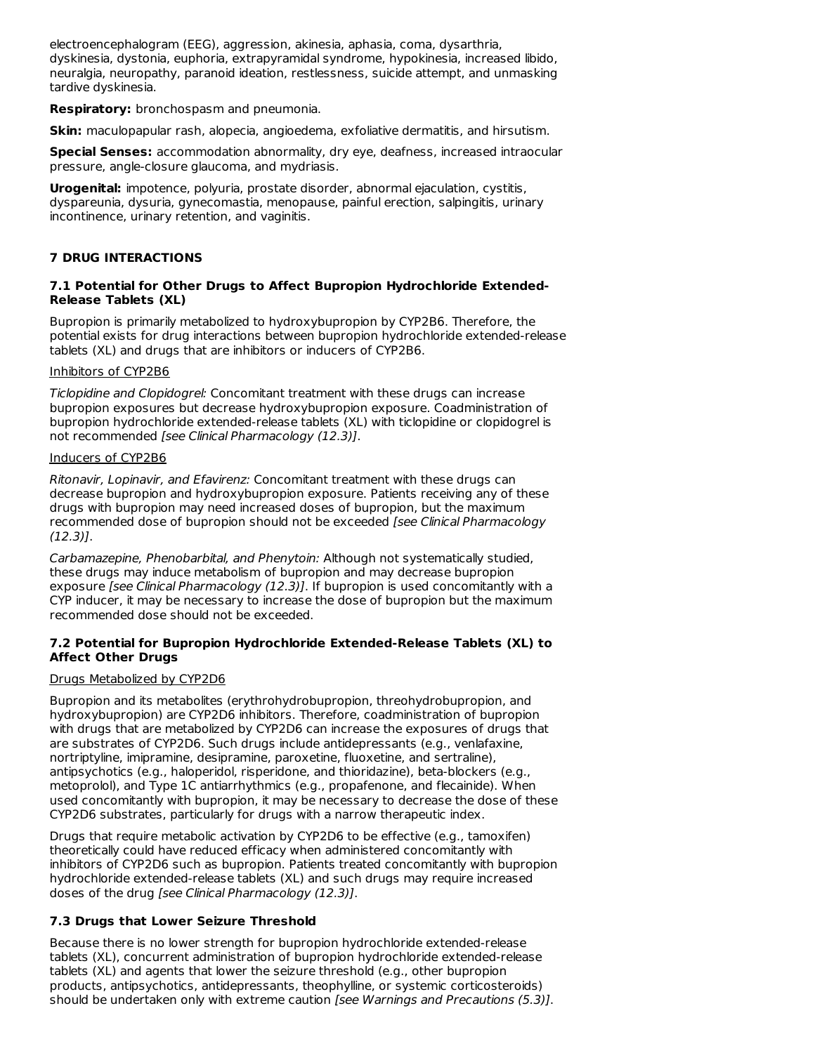electroencephalogram (EEG), aggression, akinesia, aphasia, coma, dysarthria, dyskinesia, dystonia, euphoria, extrapyramidal syndrome, hypokinesia, increased libido, neuralgia, neuropathy, paranoid ideation, restlessness, suicide attempt, and unmasking tardive dyskinesia.

**Respiratory:** bronchospasm and pneumonia.

**Skin:** maculopapular rash, alopecia, angioedema, exfoliative dermatitis, and hirsutism.

**Special Senses:** accommodation abnormality, dry eye, deafness, increased intraocular pressure, angle-closure glaucoma, and mydriasis.

**Urogenital:** impotence, polyuria, prostate disorder, abnormal ejaculation, cystitis, dyspareunia, dysuria, gynecomastia, menopause, painful erection, salpingitis, urinary incontinence, urinary retention, and vaginitis.

## **7 DRUG INTERACTIONS**

#### **7.1 Potential for Other Drugs to Affect Bupropion Hydrochloride Extended-Release Tablets (XL)**

Bupropion is primarily metabolized to hydroxybupropion by CYP2B6. Therefore, the potential exists for drug interactions between bupropion hydrochloride extended-release tablets (XL) and drugs that are inhibitors or inducers of CYP2B6.

#### Inhibitors of CYP2B6

Ticlopidine and Clopidogrel: Concomitant treatment with these drugs can increase bupropion exposures but decrease hydroxybupropion exposure. Coadministration of bupropion hydrochloride extended-release tablets (XL) with ticlopidine or clopidogrel is not recommended [see Clinical Pharmacology (12.3)].

#### Inducers of CYP2B6

Ritonavir, Lopinavir, and Efavirenz: Concomitant treatment with these drugs can decrease bupropion and hydroxybupropion exposure. Patients receiving any of these drugs with bupropion may need increased doses of bupropion, but the maximum recommended dose of bupropion should not be exceeded [see Clinical Pharmacology (12.3)].

Carbamazepine, Phenobarbital, and Phenytoin: Although not systematically studied, these drugs may induce metabolism of bupropion and may decrease bupropion exposure [see Clinical Pharmacology (12.3)]. If bupropion is used concomitantly with a CYP inducer, it may be necessary to increase the dose of bupropion but the maximum recommended dose should not be exceeded.

## **7.2 Potential for Bupropion Hydrochloride Extended-Release Tablets (XL) to Affect Other Drugs**

## Drugs Metabolized by CYP2D6

Bupropion and its metabolites (erythrohydrobupropion, threohydrobupropion, and hydroxybupropion) are CYP2D6 inhibitors. Therefore, coadministration of bupropion with drugs that are metabolized by CYP2D6 can increase the exposures of drugs that are substrates of CYP2D6. Such drugs include antidepressants (e.g., venlafaxine, nortriptyline, imipramine, desipramine, paroxetine, fluoxetine, and sertraline), antipsychotics (e.g., haloperidol, risperidone, and thioridazine), beta-blockers (e.g., metoprolol), and Type 1C antiarrhythmics (e.g., propafenone, and flecainide). When used concomitantly with bupropion, it may be necessary to decrease the dose of these CYP2D6 substrates, particularly for drugs with a narrow therapeutic index.

Drugs that require metabolic activation by CYP2D6 to be effective (e.g., tamoxifen) theoretically could have reduced efficacy when administered concomitantly with inhibitors of CYP2D6 such as bupropion. Patients treated concomitantly with bupropion hydrochloride extended-release tablets (XL) and such drugs may require increased doses of the drug [see Clinical Pharmacology (12.3)].

## **7.3 Drugs that Lower Seizure Threshold**

Because there is no lower strength for bupropion hydrochloride extended-release tablets (XL), concurrent administration of bupropion hydrochloride extended-release tablets (XL) and agents that lower the seizure threshold (e.g., other bupropion products, antipsychotics, antidepressants, theophylline, or systemic corticosteroids) should be undertaken only with extreme caution [see Warnings and Precautions (5.3)].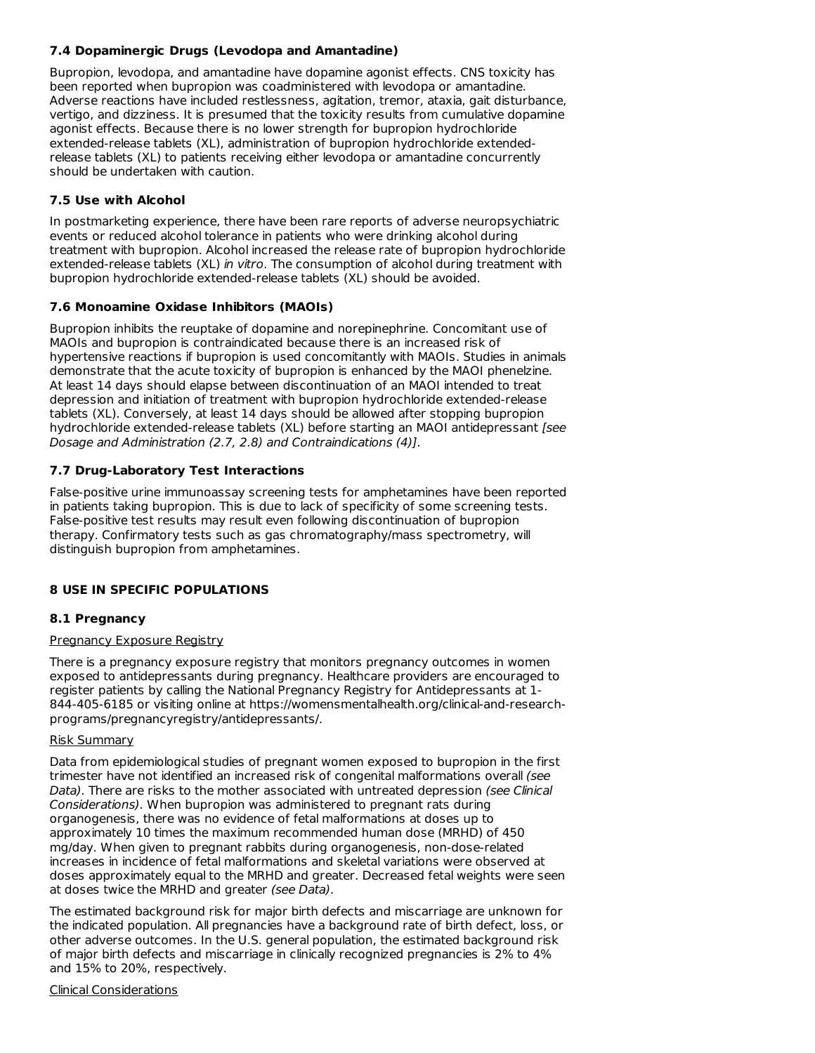## **7.4 Dopaminergic Drugs (Levodopa and Amantadine)**

Bupropion, levodopa, and amantadine have dopamine agonist effects. CNS toxicity has been reported when bupropion was coadministered with levodopa or amantadine. Adverse reactions have included restlessness, agitation, tremor, ataxia, gait disturbance, vertigo, and dizziness. It is presumed that the toxicity results from cumulative dopamine agonist effects. Because there is no lower strength for bupropion hydrochloride extended-release tablets (XL), administration of bupropion hydrochloride extendedrelease tablets (XL) to patients receiving either levodopa or amantadine concurrently should be undertaken with caution.

## **7.5 Use with Alcohol**

In postmarketing experience, there have been rare reports of adverse neuropsychiatric events or reduced alcohol tolerance in patients who were drinking alcohol during treatment with bupropion. Alcohol increased the release rate of bupropion hydrochloride extended-release tablets (XL) in vitro. The consumption of alcohol during treatment with bupropion hydrochloride extended-release tablets (XL) should be avoided.

## **7.6 Monoamine Oxidase Inhibitors (MAOIs)**

Bupropion inhibits the reuptake of dopamine and norepinephrine. Concomitant use of MAOIs and bupropion is contraindicated because there is an increased risk of hypertensive reactions if bupropion is used concomitantly with MAOIs. Studies in animals demonstrate that the acute toxicity of bupropion is enhanced by the MAOI phenelzine. At least 14 days should elapse between discontinuation of an MAOI intended to treat depression and initiation of treatment with bupropion hydrochloride extended-release tablets (XL). Conversely, at least 14 days should be allowed after stopping bupropion hydrochloride extended-release tablets (XL) before starting an MAOI antidepressant [see Dosage and Administration (2.7, 2.8) and Contraindications (4)].

## **7.7 Drug-Laboratory Test Interactions**

False-positive urine immunoassay screening tests for amphetamines have been reported in patients taking bupropion. This is due to lack of specificity of some screening tests. False-positive test results may result even following discontinuation of bupropion therapy. Confirmatory tests such as gas chromatography/mass spectrometry, will distinguish bupropion from amphetamines.

## **8 USE IN SPECIFIC POPULATIONS**

## **8.1 Pregnancy**

## Pregnancy Exposure Registry

There is a pregnancy exposure registry that monitors pregnancy outcomes in women exposed to antidepressants during pregnancy. Healthcare providers are encouraged to register patients by calling the National Pregnancy Registry for Antidepressants at 1- 844-405-6185 or visiting online at https://womensmentalhealth.org/clinical-and-researchprograms/pregnancyregistry/antidepressants/.

## Risk Summary

Data from epidemiological studies of pregnant women exposed to bupropion in the first trimester have not identified an increased risk of congenital malformations overall (see Data). There are risks to the mother associated with untreated depression (see Clinical Considerations). When bupropion was administered to pregnant rats during organogenesis, there was no evidence of fetal malformations at doses up to approximately 10 times the maximum recommended human dose (MRHD) of 450 mg/day. When given to pregnant rabbits during organogenesis, non-dose-related increases in incidence of fetal malformations and skeletal variations were observed at doses approximately equal to the MRHD and greater. Decreased fetal weights were seen at doses twice the MRHD and greater (see Data).

The estimated background risk for major birth defects and miscarriage are unknown for the indicated population. All pregnancies have a background rate of birth defect, loss, or other adverse outcomes. In the U.S. general population, the estimated background risk of major birth defects and miscarriage in clinically recognized pregnancies is 2% to 4% and 15% to 20%, respectively.

#### Clinical Considerations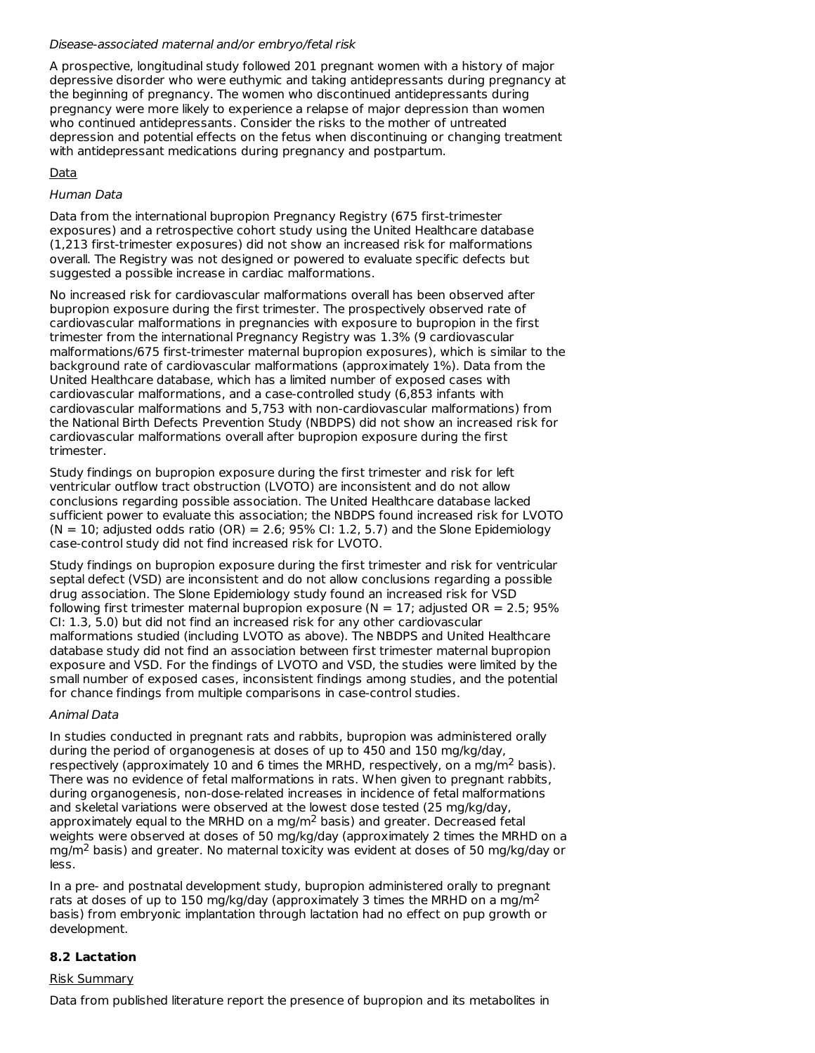#### Disease-associated maternal and/or embryo/fetal risk

A prospective, longitudinal study followed 201 pregnant women with a history of major depressive disorder who were euthymic and taking antidepressants during pregnancy at the beginning of pregnancy. The women who discontinued antidepressants during pregnancy were more likely to experience a relapse of major depression than women who continued antidepressants. Consider the risks to the mother of untreated depression and potential effects on the fetus when discontinuing or changing treatment with antidepressant medications during pregnancy and postpartum.

## Data

## Human Data

Data from the international bupropion Pregnancy Registry (675 first-trimester exposures) and a retrospective cohort study using the United Healthcare database (1,213 first-trimester exposures) did not show an increased risk for malformations overall. The Registry was not designed or powered to evaluate specific defects but suggested a possible increase in cardiac malformations.

No increased risk for cardiovascular malformations overall has been observed after bupropion exposure during the first trimester. The prospectively observed rate of cardiovascular malformations in pregnancies with exposure to bupropion in the first trimester from the international Pregnancy Registry was 1.3% (9 cardiovascular malformations/675 first-trimester maternal bupropion exposures), which is similar to the background rate of cardiovascular malformations (approximately 1%). Data from the United Healthcare database, which has a limited number of exposed cases with cardiovascular malformations, and a case-controlled study (6,853 infants with cardiovascular malformations and 5,753 with non-cardiovascular malformations) from the National Birth Defects Prevention Study (NBDPS) did not show an increased risk for cardiovascular malformations overall after bupropion exposure during the first trimester.

Study findings on bupropion exposure during the first trimester and risk for left ventricular outflow tract obstruction (LVOTO) are inconsistent and do not allow conclusions regarding possible association. The United Healthcare database lacked sufficient power to evaluate this association; the NBDPS found increased risk for LVOTO  $(N = 10;$  adjusted odds ratio  $(OR) = 2.6; 95\%$  CI: 1.2, 5.7) and the Slone Epidemiology case-control study did not find increased risk for LVOTO.

Study findings on bupropion exposure during the first trimester and risk for ventricular septal defect (VSD) are inconsistent and do not allow conclusions regarding a possible drug association. The Slone Epidemiology study found an increased risk for VSD following first trimester maternal bupropion exposure ( $N = 17$ ; adjusted OR = 2.5; 95% CI: 1.3, 5.0) but did not find an increased risk for any other cardiovascular malformations studied (including LVOTO as above). The NBDPS and United Healthcare database study did not find an association between first trimester maternal bupropion exposure and VSD. For the findings of LVOTO and VSD, the studies were limited by the small number of exposed cases, inconsistent findings among studies, and the potential for chance findings from multiple comparisons in case-control studies.

## Animal Data

In studies conducted in pregnant rats and rabbits, bupropion was administered orally during the period of organogenesis at doses of up to 450 and 150 mg/kg/day, respectively (approximately 10 and 6 times the MRHD, respectively, on a mg/m<sup>2</sup> basis). There was no evidence of fetal malformations in rats. When given to pregnant rabbits, during organogenesis, non-dose-related increases in incidence of fetal malformations and skeletal variations were observed at the lowest dose tested (25 mg/kg/day, approximately equal to the MRHD on a mg/m<sup>2</sup> basis) and greater. Decreased fetal weights were observed at doses of 50 mg/kg/day (approximately 2 times the MRHD on a mg/m<sup>2</sup> basis) and greater. No maternal toxicity was evident at doses of 50 mg/kg/day or less.

In a pre- and postnatal development study, bupropion administered orally to pregnant rats at doses of up to 150 mg/kg/day (approximately 3 times the MRHD on a mg/m<sup>2</sup> basis) from embryonic implantation through lactation had no effect on pup growth or development.

## **8.2 Lactation**

## Risk Summary

Data from published literature report the presence of bupropion and its metabolites in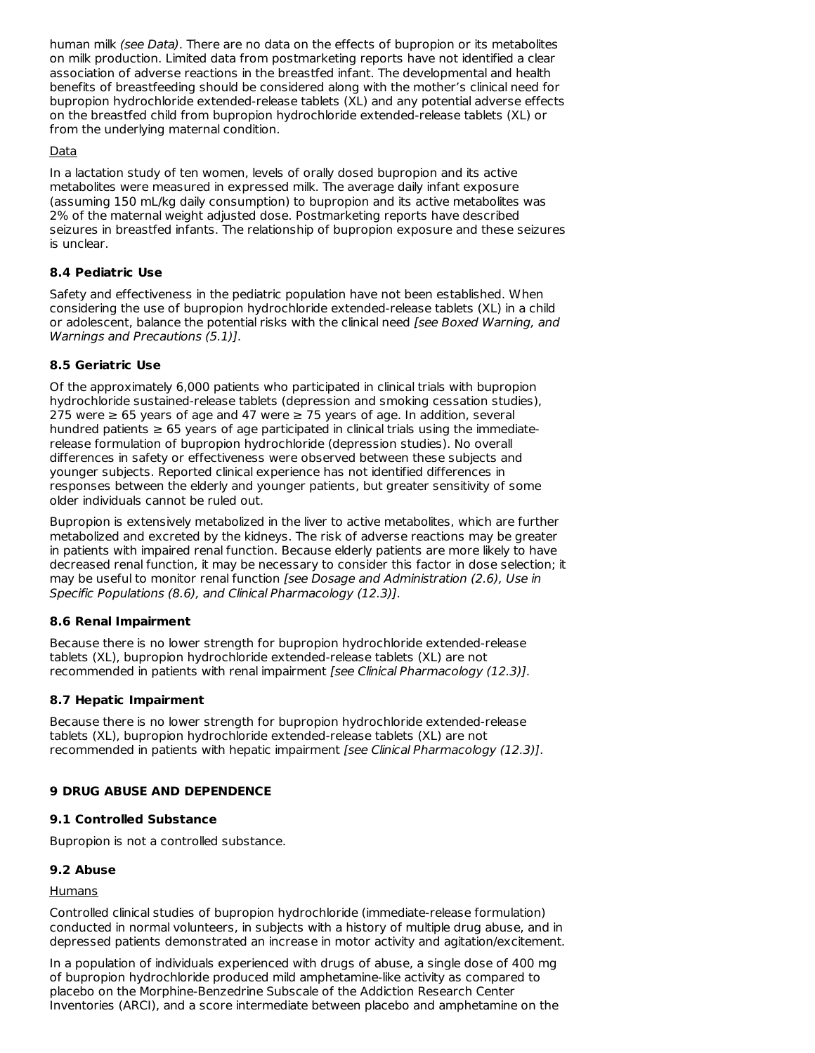human milk (see Data). There are no data on the effects of bupropion or its metabolites on milk production. Limited data from postmarketing reports have not identified a clear association of adverse reactions in the breastfed infant. The developmental and health benefits of breastfeeding should be considered along with the mother's clinical need for bupropion hydrochloride extended-release tablets (XL) and any potential adverse effects on the breastfed child from bupropion hydrochloride extended-release tablets (XL) or from the underlying maternal condition.

## Data

In a lactation study of ten women, levels of orally dosed bupropion and its active metabolites were measured in expressed milk. The average daily infant exposure (assuming 150 mL/kg daily consumption) to bupropion and its active metabolites was 2% of the maternal weight adjusted dose. Postmarketing reports have described seizures in breastfed infants. The relationship of bupropion exposure and these seizures is unclear.

# **8.4 Pediatric Use**

Safety and effectiveness in the pediatric population have not been established. When considering the use of bupropion hydrochloride extended-release tablets (XL) in a child or adolescent, balance the potential risks with the clinical need [see Boxed Warning, and Warnings and Precautions (5.1)].

# **8.5 Geriatric Use**

Of the approximately 6,000 patients who participated in clinical trials with bupropion hydrochloride sustained-release tablets (depression and smoking cessation studies), 275 were ≥ 65 years of age and 47 were ≥ 75 years of age. In addition, several hundred patients  $\geq 65$  years of age participated in clinical trials using the immediaterelease formulation of bupropion hydrochloride (depression studies). No overall differences in safety or effectiveness were observed between these subjects and younger subjects. Reported clinical experience has not identified differences in responses between the elderly and younger patients, but greater sensitivity of some older individuals cannot be ruled out.

Bupropion is extensively metabolized in the liver to active metabolites, which are further metabolized and excreted by the kidneys. The risk of adverse reactions may be greater in patients with impaired renal function. Because elderly patients are more likely to have decreased renal function, it may be necessary to consider this factor in dose selection; it may be useful to monitor renal function [see Dosage and Administration (2.6), Use in Specific Populations (8.6), and Clinical Pharmacology (12.3)].

# **8.6 Renal Impairment**

Because there is no lower strength for bupropion hydrochloride extended-release tablets (XL), bupropion hydrochloride extended-release tablets (XL) are not recommended in patients with renal impairment [see Clinical Pharmacology (12.3)].

## **8.7 Hepatic Impairment**

Because there is no lower strength for bupropion hydrochloride extended-release tablets (XL), bupropion hydrochloride extended-release tablets (XL) are not recommended in patients with hepatic impairment [see Clinical Pharmacology (12.3)].

## **9 DRUG ABUSE AND DEPENDENCE**

## **9.1 Controlled Substance**

Bupropion is not a controlled substance.

## **9.2 Abuse**

## Humans

Controlled clinical studies of bupropion hydrochloride (immediate-release formulation) conducted in normal volunteers, in subjects with a history of multiple drug abuse, and in depressed patients demonstrated an increase in motor activity and agitation/excitement.

In a population of individuals experienced with drugs of abuse, a single dose of 400 mg of bupropion hydrochloride produced mild amphetamine-like activity as compared to placebo on the Morphine-Benzedrine Subscale of the Addiction Research Center Inventories (ARCI), and a score intermediate between placebo and amphetamine on the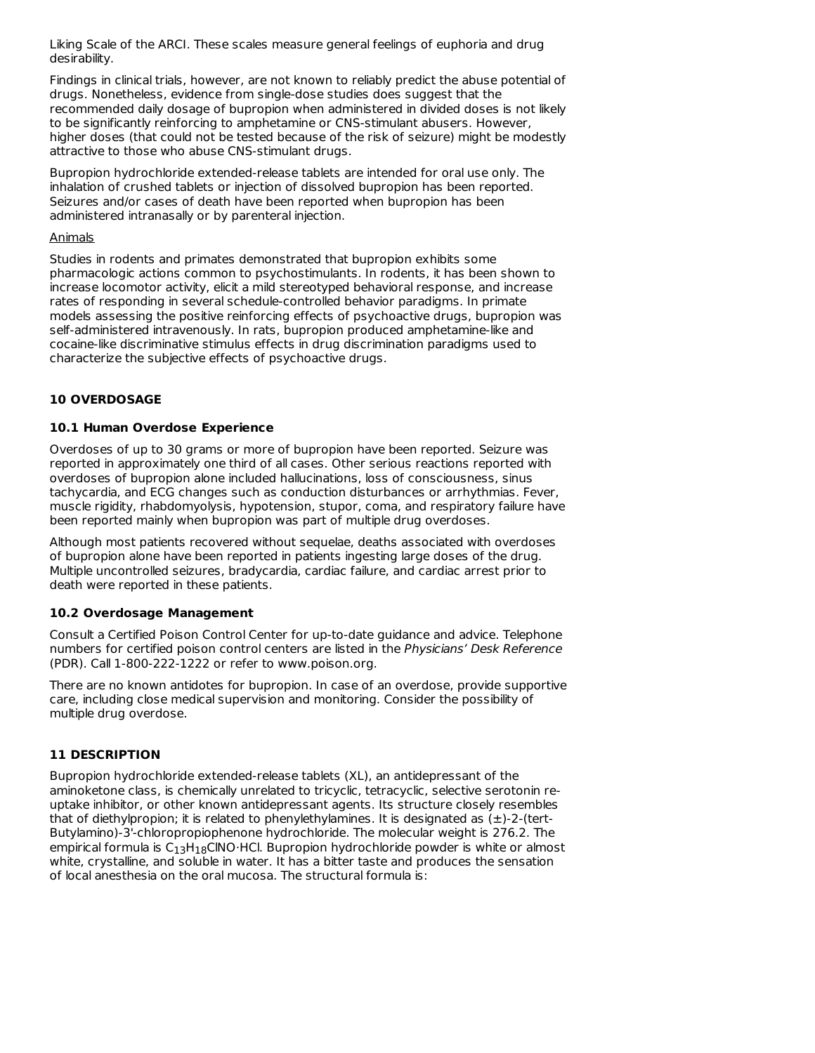Liking Scale of the ARCI. These scales measure general feelings of euphoria and drug desirability.

Findings in clinical trials, however, are not known to reliably predict the abuse potential of drugs. Nonetheless, evidence from single-dose studies does suggest that the recommended daily dosage of bupropion when administered in divided doses is not likely to be significantly reinforcing to amphetamine or CNS-stimulant abusers. However, higher doses (that could not be tested because of the risk of seizure) might be modestly attractive to those who abuse CNS-stimulant drugs.

Bupropion hydrochloride extended-release tablets are intended for oral use only. The inhalation of crushed tablets or injection of dissolved bupropion has been reported. Seizures and/or cases of death have been reported when bupropion has been administered intranasally or by parenteral injection.

#### Animals

Studies in rodents and primates demonstrated that bupropion exhibits some pharmacologic actions common to psychostimulants. In rodents, it has been shown to increase locomotor activity, elicit a mild stereotyped behavioral response, and increase rates of responding in several schedule-controlled behavior paradigms. In primate models assessing the positive reinforcing effects of psychoactive drugs, bupropion was self-administered intravenously. In rats, bupropion produced amphetamine-like and cocaine-like discriminative stimulus effects in drug discrimination paradigms used to characterize the subjective effects of psychoactive drugs.

## **10 OVERDOSAGE**

## **10.1 Human Overdose Experience**

Overdoses of up to 30 grams or more of bupropion have been reported. Seizure was reported in approximately one third of all cases. Other serious reactions reported with overdoses of bupropion alone included hallucinations, loss of consciousness, sinus tachycardia, and ECG changes such as conduction disturbances or arrhythmias. Fever, muscle rigidity, rhabdomyolysis, hypotension, stupor, coma, and respiratory failure have been reported mainly when bupropion was part of multiple drug overdoses.

Although most patients recovered without sequelae, deaths associated with overdoses of bupropion alone have been reported in patients ingesting large doses of the drug. Multiple uncontrolled seizures, bradycardia, cardiac failure, and cardiac arrest prior to death were reported in these patients.

## **10.2 Overdosage Management**

Consult a Certified Poison Control Center for up-to-date guidance and advice. Telephone numbers for certified poison control centers are listed in the Physicians' Desk Reference (PDR). Call 1-800-222-1222 or refer to www.poison.org.

There are no known antidotes for bupropion. In case of an overdose, provide supportive care, including close medical supervision and monitoring. Consider the possibility of multiple drug overdose.

## **11 DESCRIPTION**

Bupropion hydrochloride extended-release tablets (XL), an antidepressant of the aminoketone class, is chemically unrelated to tricyclic, tetracyclic, selective serotonin reuptake inhibitor, or other known antidepressant agents. Its structure closely resembles that of diethylpropion; it is related to phenylethylamines. It is designated as (±)-2-(tert-Butylamino)-3'-chloropropiophenone hydrochloride. The molecular weight is 276.2. The empirical formula is  $\mathsf{C}_{13}\mathsf{H}_{18}\mathsf{C}\mathsf{I}\mathsf{NO}\cdot\mathsf{H}\mathsf{Cl}.$  Bupropion hydrochloride powder is white or almost white, crystalline, and soluble in water. It has a bitter taste and produces the sensation of local anesthesia on the oral mucosa. The structural formula is: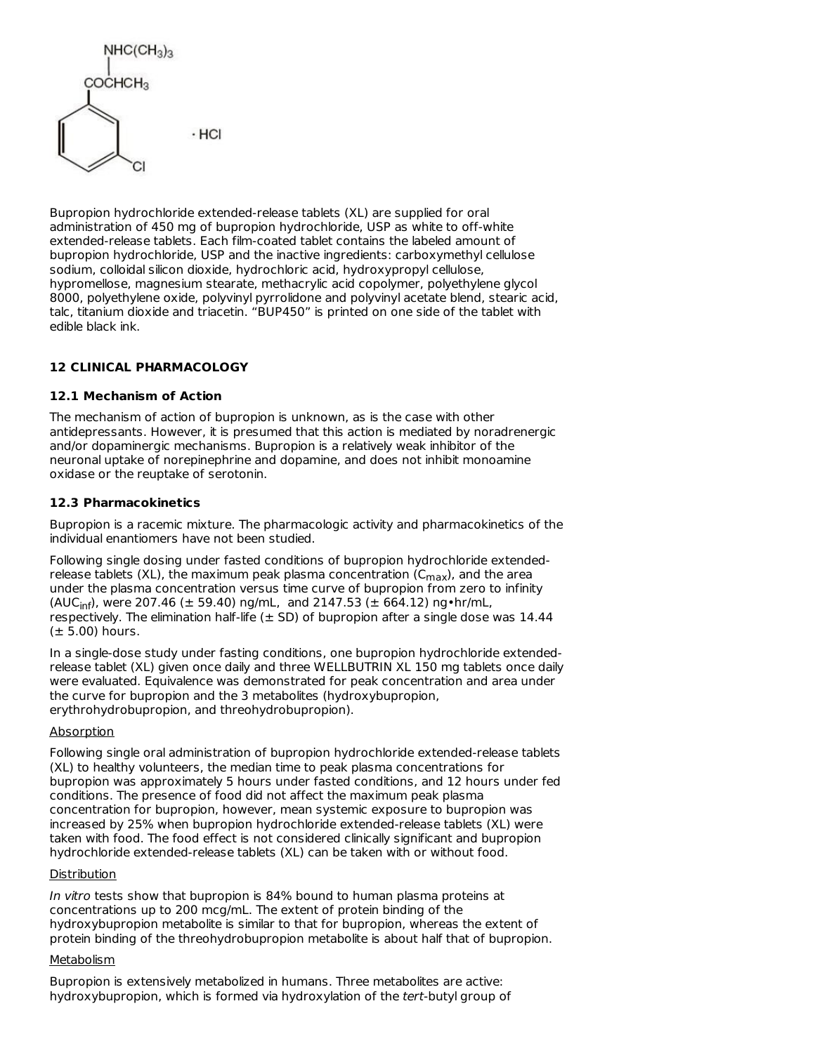$NHC(CH_3)_3$  $COCHCH<sub>3</sub>$  $·$  HCI

Bupropion hydrochloride extended-release tablets (XL) are supplied for oral administration of 450 mg of bupropion hydrochloride, USP as white to off-white extended-release tablets. Each film-coated tablet contains the labeled amount of bupropion hydrochloride, USP and the inactive ingredients: carboxymethyl cellulose sodium, colloidal silicon dioxide, hydrochloric acid, hydroxypropyl cellulose, hypromellose, magnesium stearate, methacrylic acid copolymer, polyethylene glycol 8000, polyethylene oxide, polyvinyl pyrrolidone and polyvinyl acetate blend, stearic acid, talc, titanium dioxide and triacetin. "BUP450" is printed on one side of the tablet with edible black ink.

## **12 CLINICAL PHARMACOLOGY**

#### **12.1 Mechanism of Action**

The mechanism of action of bupropion is unknown, as is the case with other antidepressants. However, it is presumed that this action is mediated by noradrenergic and/or dopaminergic mechanisms. Bupropion is a relatively weak inhibitor of the neuronal uptake of norepinephrine and dopamine, and does not inhibit monoamine oxidase or the reuptake of serotonin.

#### **12.3 Pharmacokinetics**

Bupropion is a racemic mixture. The pharmacologic activity and pharmacokinetics of the individual enantiomers have not been studied.

Following single dosing under fasted conditions of bupropion hydrochloride extendedrelease tablets (XL), the maximum peak plasma concentration (C<sub>max</sub>), and the area under the plasma concentration versus time curve of bupropion from zero to infinity (AUC<sub>inf</sub>), were 207.46 ( $\pm$  59.40) ng/mL, and 2147.53 ( $\pm$  664.12) ng•hr/mL, respectively. The elimination half-life  $(\pm$  SD) of bupropion after a single dose was 14.44  $(\pm 5.00)$  hours.

In a single-dose study under fasting conditions, one bupropion hydrochloride extendedrelease tablet (XL) given once daily and three WELLBUTRIN XL 150 mg tablets once daily were evaluated. Equivalence was demonstrated for peak concentration and area under the curve for bupropion and the 3 metabolites (hydroxybupropion, erythrohydrobupropion, and threohydrobupropion).

#### **Absorption**

Following single oral administration of bupropion hydrochloride extended-release tablets (XL) to healthy volunteers, the median time to peak plasma concentrations for bupropion was approximately 5 hours under fasted conditions, and 12 hours under fed conditions. The presence of food did not affect the maximum peak plasma concentration for bupropion, however, mean systemic exposure to bupropion was increased by 25% when bupropion hydrochloride extended-release tablets (XL) were taken with food. The food effect is not considered clinically significant and bupropion hydrochloride extended-release tablets (XL) can be taken with or without food.

#### Distribution

In vitro tests show that bupropion is 84% bound to human plasma proteins at concentrations up to 200 mcg/mL. The extent of protein binding of the hydroxybupropion metabolite is similar to that for bupropion, whereas the extent of protein binding of the threohydrobupropion metabolite is about half that of bupropion.

#### **Metabolism**

Bupropion is extensively metabolized in humans. Three metabolites are active: hydroxybupropion, which is formed via hydroxylation of the tert-butyl group of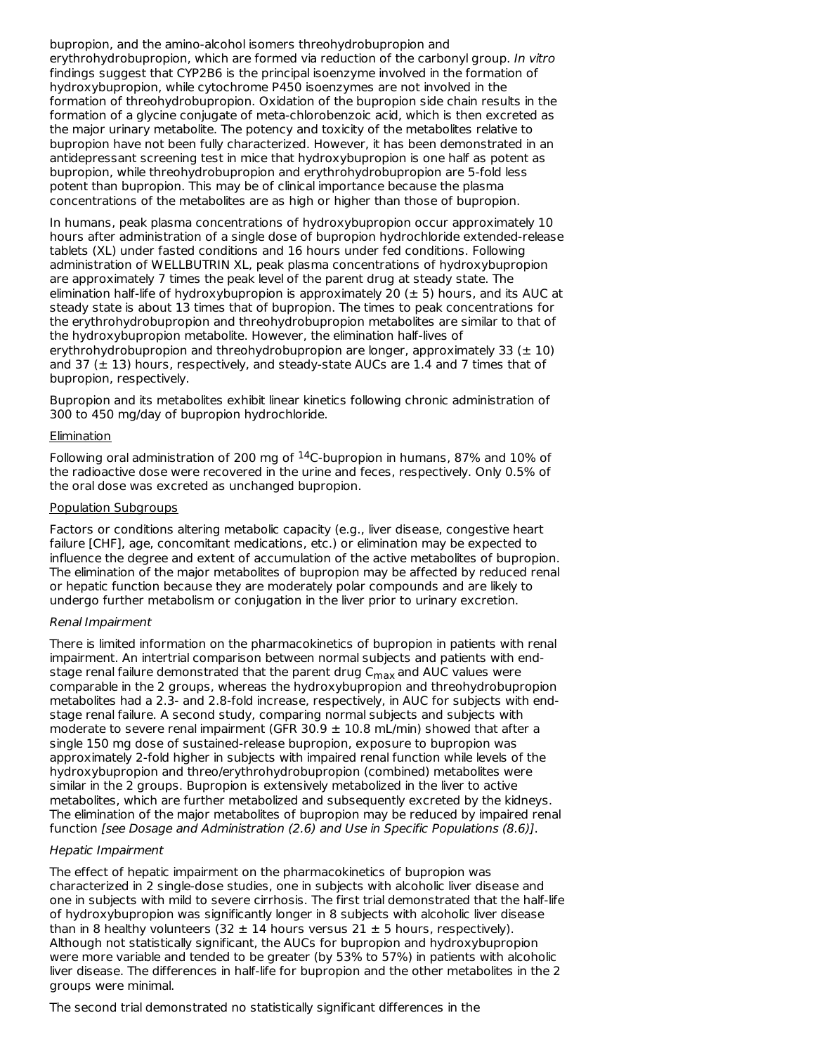bupropion, and the amino-alcohol isomers threohydrobupropion and erythrohydrobupropion, which are formed via reduction of the carbonyl group. In vitro findings suggest that CYP2B6 is the principal isoenzyme involved in the formation of hydroxybupropion, while cytochrome P450 isoenzymes are not involved in the formation of threohydrobupropion. Oxidation of the bupropion side chain results in the formation of a glycine conjugate of meta-chlorobenzoic acid, which is then excreted as the major urinary metabolite. The potency and toxicity of the metabolites relative to bupropion have not been fully characterized. However, it has been demonstrated in an antidepressant screening test in mice that hydroxybupropion is one half as potent as bupropion, while threohydrobupropion and erythrohydrobupropion are 5-fold less potent than bupropion. This may be of clinical importance because the plasma concentrations of the metabolites are as high or higher than those of bupropion.

In humans, peak plasma concentrations of hydroxybupropion occur approximately 10 hours after administration of a single dose of bupropion hydrochloride extended-release tablets (XL) under fasted conditions and 16 hours under fed conditions. Following administration of WELLBUTRIN XL, peak plasma concentrations of hydroxybupropion are approximately 7 times the peak level of the parent drug at steady state. The elimination half-life of hydroxybupropion is approximately 20  $(\pm 5)$  hours, and its AUC at steady state is about 13 times that of bupropion. The times to peak concentrations for the erythrohydrobupropion and threohydrobupropion metabolites are similar to that of the hydroxybupropion metabolite. However, the elimination half-lives of erythrohydrobupropion and threohydrobupropion are longer, approximately 33 ( $\pm$  10) and 37 ( $\pm$  13) hours, respectively, and steady-state AUCs are 1.4 and 7 times that of bupropion, respectively.

Bupropion and its metabolites exhibit linear kinetics following chronic administration of 300 to 450 mg/day of bupropion hydrochloride.

#### **Elimination**

Following oral administration of 200 mg of  $14$ C-bupropion in humans, 87% and 10% of the radioactive dose were recovered in the urine and feces, respectively. Only 0.5% of the oral dose was excreted as unchanged bupropion.

#### Population Subgroups

Factors or conditions altering metabolic capacity (e.g., liver disease, congestive heart failure [CHF], age, concomitant medications, etc.) or elimination may be expected to influence the degree and extent of accumulation of the active metabolites of bupropion. The elimination of the major metabolites of bupropion may be affected by reduced renal or hepatic function because they are moderately polar compounds and are likely to undergo further metabolism or conjugation in the liver prior to urinary excretion.

#### Renal Impairment

There is limited information on the pharmacokinetics of bupropion in patients with renal impairment. An intertrial comparison between normal subjects and patients with endstage renal failure demonstrated that the parent drug C<sub>max</sub> and AUC values were comparable in the 2 groups, whereas the hydroxybupropion and threohydrobupropion metabolites had a 2.3- and 2.8-fold increase, respectively, in AUC for subjects with endstage renal failure. A second study, comparing normal subjects and subjects with moderate to severe renal impairment (GFR 30.9  $\pm$  10.8 mL/min) showed that after a single 150 mg dose of sustained-release bupropion, exposure to bupropion was approximately 2-fold higher in subjects with impaired renal function while levels of the hydroxybupropion and threo/erythrohydrobupropion (combined) metabolites were similar in the 2 groups. Bupropion is extensively metabolized in the liver to active metabolites, which are further metabolized and subsequently excreted by the kidneys. The elimination of the major metabolites of bupropion may be reduced by impaired renal function [see Dosage and Administration (2.6) and Use in Specific Populations (8.6)].

#### Hepatic Impairment

The effect of hepatic impairment on the pharmacokinetics of bupropion was characterized in 2 single-dose studies, one in subjects with alcoholic liver disease and one in subjects with mild to severe cirrhosis. The first trial demonstrated that the half-life of hydroxybupropion was significantly longer in 8 subjects with alcoholic liver disease than in 8 healthy volunteers (32  $\pm$  14 hours versus 21  $\pm$  5 hours, respectively). Although not statistically significant, the AUCs for bupropion and hydroxybupropion were more variable and tended to be greater (by 53% to 57%) in patients with alcoholic liver disease. The differences in half-life for bupropion and the other metabolites in the 2 groups were minimal.

The second trial demonstrated no statistically significant differences in the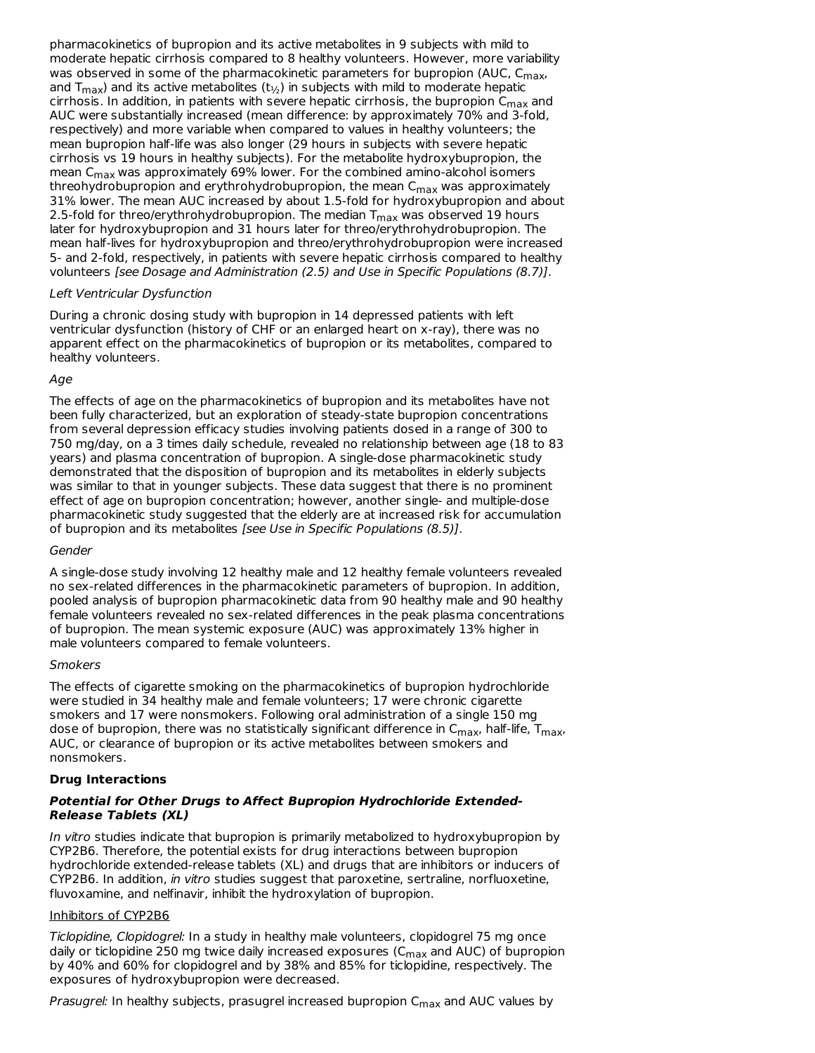pharmacokinetics of bupropion and its active metabolites in 9 subjects with mild to moderate hepatic cirrhosis compared to 8 healthy volunteers. However, more variability was observed in some of the pharmacokinetic parameters for bupropion (AUC, C<sub>max</sub>, and T<sub>max</sub>) and its active metabolites (t $_{\rm 1/2}$ ) in subjects with mild to moderate hepatic cirrhosis. In addition, in patients with severe hepatic cirrhosis, the bupropion  $\mathsf{C}_{\mathsf{max}}$  and AUC were substantially increased (mean difference: by approximately 70% and 3-fold, respectively) and more variable when compared to values in healthy volunteers; the mean bupropion half-life was also longer (29 hours in subjects with severe hepatic cirrhosis vs 19 hours in healthy subjects). For the metabolite hydroxybupropion, the mean C $_{\sf max}$  was approximately 69% lower. For the combined amino-alcohol isomers threohydrobupropion and erythrohydrobupropion, the mean C<sub>max</sub> was approximately 31% lower. The mean AUC increased by about 1.5-fold for hydroxybupropion and about 2.5-fold for threo/erythrohydrobupropion. The median  $\mathsf{T}_{\mathsf{max}}$  was observed 19 hours later for hydroxybupropion and 31 hours later for threo/erythrohydrobupropion. The mean half-lives for hydroxybupropion and threo/erythrohydrobupropion were increased 5- and 2-fold, respectively, in patients with severe hepatic cirrhosis compared to healthy volunteers [see Dosage and Administration (2.5) and Use in Specific Populations (8.7)].

#### Left Ventricular Dysfunction

During a chronic dosing study with bupropion in 14 depressed patients with left ventricular dysfunction (history of CHF or an enlarged heart on x-ray), there was no apparent effect on the pharmacokinetics of bupropion or its metabolites, compared to healthy volunteers.

#### Age

The effects of age on the pharmacokinetics of bupropion and its metabolites have not been fully characterized, but an exploration of steady-state bupropion concentrations from several depression efficacy studies involving patients dosed in a range of 300 to 750 mg/day, on a 3 times daily schedule, revealed no relationship between age (18 to 83 years) and plasma concentration of bupropion. A single-dose pharmacokinetic study demonstrated that the disposition of bupropion and its metabolites in elderly subjects was similar to that in younger subjects. These data suggest that there is no prominent effect of age on bupropion concentration; however, another single- and multiple-dose pharmacokinetic study suggested that the elderly are at increased risk for accumulation of bupropion and its metabolites [see Use in Specific Populations (8.5)].

#### Gender

A single-dose study involving 12 healthy male and 12 healthy female volunteers revealed no sex-related differences in the pharmacokinetic parameters of bupropion. In addition, pooled analysis of bupropion pharmacokinetic data from 90 healthy male and 90 healthy female volunteers revealed no sex-related differences in the peak plasma concentrations of bupropion. The mean systemic exposure (AUC) was approximately 13% higher in male volunteers compared to female volunteers.

#### **Smokers**

The effects of cigarette smoking on the pharmacokinetics of bupropion hydrochloride were studied in 34 healthy male and female volunteers; 17 were chronic cigarette smokers and 17 were nonsmokers. Following oral administration of a single 150 mg dose of bupropion, there was no statistically significant difference in C<sub>max</sub>, half-life, T<sub>max</sub>, AUC, or clearance of bupropion or its active metabolites between smokers and nonsmokers.

## **Drug Interactions**

## **Potential for Other Drugs to Affect Bupropion Hydrochloride Extended-Release Tablets (XL)**

In vitro studies indicate that bupropion is primarily metabolized to hydroxybupropion by CYP2B6. Therefore, the potential exists for drug interactions between bupropion hydrochloride extended-release tablets (XL) and drugs that are inhibitors or inducers of CYP2B6. In addition, in vitro studies suggest that paroxetine, sertraline, norfluoxetine, fluvoxamine, and nelfinavir, inhibit the hydroxylation of bupropion.

## Inhibitors of CYP2B6

Ticlopidine, Clopidogrel: In a study in healthy male volunteers, clopidogrel 75 mg once daily or ticlopidine 250 mg twice daily increased exposures (C<sub>max</sub> and AUC) of bupropion by 40% and 60% for clopidogrel and by 38% and 85% for ticlopidine, respectively. The exposures of hydroxybupropion were decreased.

*Prasugrel:* In healthy subjects, prasugrel increased bupropion C<sub>max</sub> and AUC values by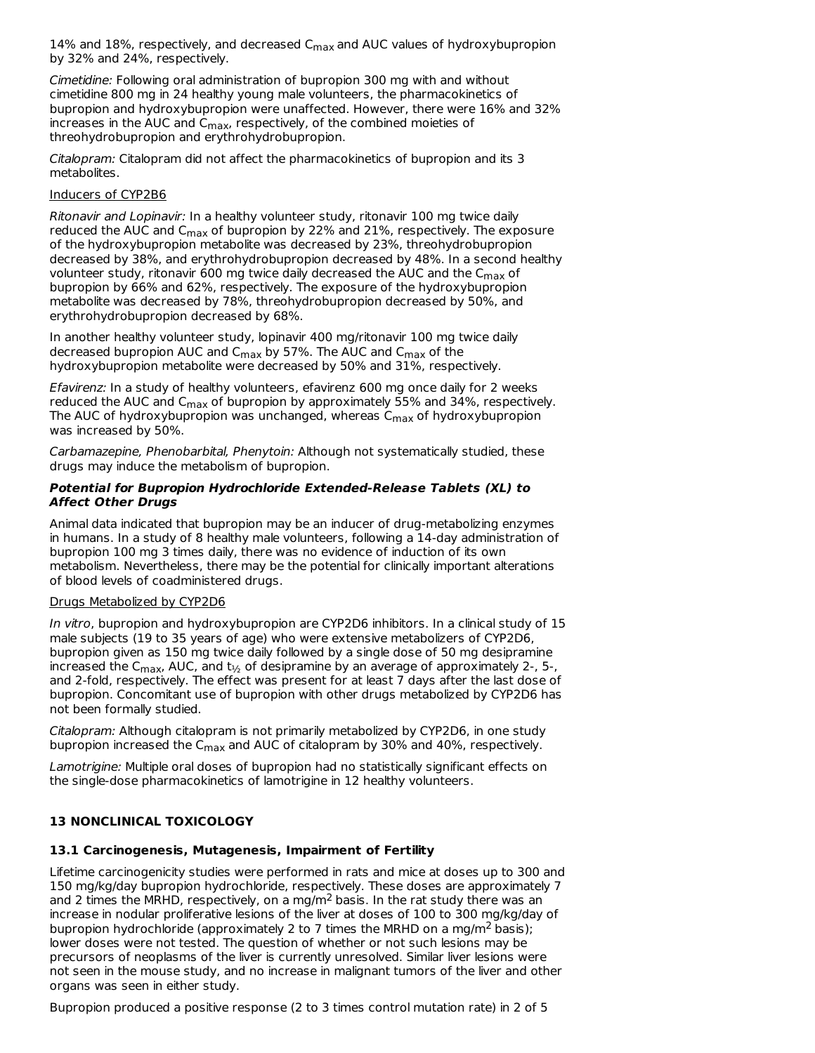14% and 18%, respectively, and decreased C $_{\sf max}$  and AUC values of hydroxybupropion by 32% and 24%, respectively.

Cimetidine: Following oral administration of bupropion 300 mg with and without cimetidine 800 mg in 24 healthy young male volunteers, the pharmacokinetics of bupropion and hydroxybupropion were unaffected. However, there were 16% and 32% increases in the AUC and C<sub>max</sub>, respectively, of the combined moieties of threohydrobupropion and erythrohydrobupropion.

Citalopram: Citalopram did not affect the pharmacokinetics of bupropion and its 3 metabolites.

#### Inducers of CYP2B6

Ritonavir and Lopinavir: In a healthy volunteer study, ritonavir 100 mg twice daily reduced the AUC and C<sub>max</sub> of bupropion by 22% and 21%, respectively. The exposure of the hydroxybupropion metabolite was decreased by 23%, threohydrobupropion decreased by 38%, and erythrohydrobupropion decreased by 48%. In a second healthy volunteer study, ritonavir 600 mg twice daily decreased the AUC and the  $\mathsf{C}_{\mathsf{max}}$  of bupropion by 66% and 62%, respectively. The exposure of the hydroxybupropion metabolite was decreased by 78%, threohydrobupropion decreased by 50%, and erythrohydrobupropion decreased by 68%.

In another healthy volunteer study, lopinavir 400 mg/ritonavir 100 mg twice daily decreased bupropion AUC and C<sub>max</sub> by 57%. The AUC and C<sub>max</sub> of the hydroxybupropion metabolite were decreased by 50% and 31%, respectively.

Efavirenz: In a study of healthy volunteers, efavirenz 600 mg once daily for 2 weeks reduced the AUC and C<sub>max</sub> of bupropion by approximately 55% and 34%, respectively. The AUC of hydroxybupropion was unchanged, whereas C<sub>max</sub> of hydroxybupropion was increased by 50%.

Carbamazepine, Phenobarbital, Phenytoin: Although not systematically studied, these drugs may induce the metabolism of bupropion.

#### **Potential for Bupropion Hydrochloride Extended-Release Tablets (XL) to Affect Other Drugs**

Animal data indicated that bupropion may be an inducer of drug-metabolizing enzymes in humans. In a study of 8 healthy male volunteers, following a 14-day administration of bupropion 100 mg 3 times daily, there was no evidence of induction of its own metabolism. Nevertheless, there may be the potential for clinically important alterations of blood levels of coadministered drugs.

#### Drugs Metabolized by CYP2D6

In vitro, bupropion and hydroxybupropion are CYP2D6 inhibitors. In a clinical study of 15 male subjects (19 to 35 years of age) who were extensive metabolizers of CYP2D6, bupropion given as 150 mg twice daily followed by a single dose of 50 mg desipramine increased the C<sub>max</sub>, AUC, and t<sub>½</sub> of desipramine by an average of approximately 2-, 5-, and 2-fold, respectively. The effect was present for at least 7 days after the last dose of bupropion. Concomitant use of bupropion with other drugs metabolized by CYP2D6 has not been formally studied.

Citalopram: Although citalopram is not primarily metabolized by CYP2D6, in one study bupropion increased the C $_{\sf max}$  and AUC of citalopram by 30% and 40%, respectively.

Lamotrigine: Multiple oral doses of bupropion had no statistically significant effects on the single-dose pharmacokinetics of lamotrigine in 12 healthy volunteers.

## **13 NONCLINICAL TOXICOLOGY**

## **13.1 Carcinogenesis, Mutagenesis, Impairment of Fertility**

Lifetime carcinogenicity studies were performed in rats and mice at doses up to 300 and 150 mg/kg/day bupropion hydrochloride, respectively. These doses are approximately 7 and 2 times the MRHD, respectively, on a mg/m<sup>2</sup> basis. In the rat study there was an increase in nodular proliferative lesions of the liver at doses of 100 to 300 mg/kg/day of bupropion hydrochloride (approximately 2 to 7 times the MRHD on a mg/m<sup>2</sup> basis); lower doses were not tested. The question of whether or not such lesions may be precursors of neoplasms of the liver is currently unresolved. Similar liver lesions were not seen in the mouse study, and no increase in malignant tumors of the liver and other organs was seen in either study.

Bupropion produced a positive response (2 to 3 times control mutation rate) in 2 of 5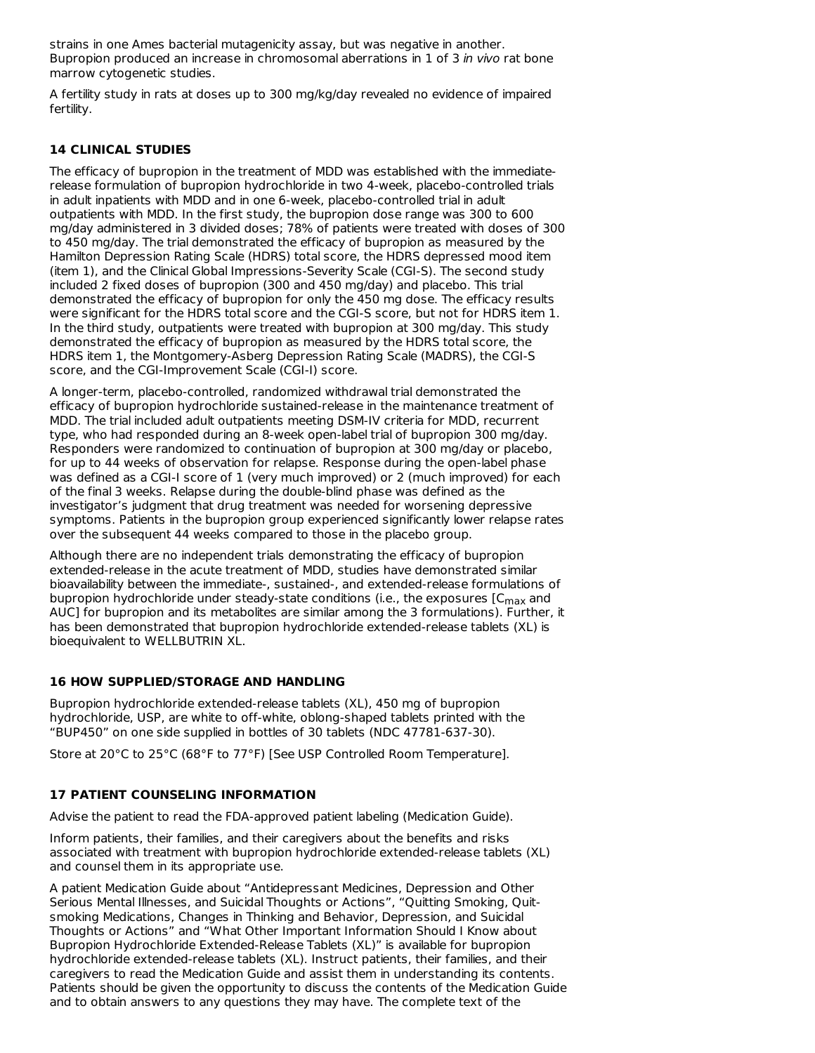strains in one Ames bacterial mutagenicity assay, but was negative in another. Bupropion produced an increase in chromosomal aberrations in 1 of 3 in vivo rat bone marrow cytogenetic studies.

A fertility study in rats at doses up to 300 mg/kg/day revealed no evidence of impaired fertility.

## **14 CLINICAL STUDIES**

The efficacy of bupropion in the treatment of MDD was established with the immediaterelease formulation of bupropion hydrochloride in two 4-week, placebo-controlled trials in adult inpatients with MDD and in one 6-week, placebo-controlled trial in adult outpatients with MDD. In the first study, the bupropion dose range was 300 to 600 mg/day administered in 3 divided doses; 78% of patients were treated with doses of 300 to 450 mg/day. The trial demonstrated the efficacy of bupropion as measured by the Hamilton Depression Rating Scale (HDRS) total score, the HDRS depressed mood item (item 1), and the Clinical Global Impressions-Severity Scale (CGI-S). The second study included 2 fixed doses of bupropion (300 and 450 mg/day) and placebo. This trial demonstrated the efficacy of bupropion for only the 450 mg dose. The efficacy results were significant for the HDRS total score and the CGI-S score, but not for HDRS item 1. In the third study, outpatients were treated with bupropion at 300 mg/day. This study demonstrated the efficacy of bupropion as measured by the HDRS total score, the HDRS item 1, the Montgomery-Asberg Depression Rating Scale (MADRS), the CGI-S score, and the CGI-Improvement Scale (CGI-I) score.

A longer-term, placebo-controlled, randomized withdrawal trial demonstrated the efficacy of bupropion hydrochloride sustained-release in the maintenance treatment of MDD. The trial included adult outpatients meeting DSM-IV criteria for MDD, recurrent type, who had responded during an 8-week open-label trial of bupropion 300 mg/day. Responders were randomized to continuation of bupropion at 300 mg/day or placebo, for up to 44 weeks of observation for relapse. Response during the open-label phase was defined as a CGI-I score of 1 (very much improved) or 2 (much improved) for each of the final 3 weeks. Relapse during the double-blind phase was defined as the investigator's judgment that drug treatment was needed for worsening depressive symptoms. Patients in the bupropion group experienced significantly lower relapse rates over the subsequent 44 weeks compared to those in the placebo group.

Although there are no independent trials demonstrating the efficacy of bupropion extended-release in the acute treatment of MDD, studies have demonstrated similar bioavailability between the immediate-, sustained-, and extended-release formulations of bupropion hydrochloride under steady-state conditions (i.e., the exposures [C $_{\sf max}$  and AUC] for bupropion and its metabolites are similar among the 3 formulations). Further, it has been demonstrated that bupropion hydrochloride extended-release tablets (XL) is bioequivalent to WELLBUTRIN XL.

## **16 HOW SUPPLIED/STORAGE AND HANDLING**

Bupropion hydrochloride extended-release tablets (XL), 450 mg of bupropion hydrochloride, USP, are white to off-white, oblong-shaped tablets printed with the "BUP450" on one side supplied in bottles of 30 tablets (NDC 47781-637-30).

Store at 20°C to 25°C (68°F to 77°F) [See USP Controlled Room Temperature].

## **17 PATIENT COUNSELING INFORMATION**

Advise the patient to read the FDA-approved patient labeling (Medication Guide).

Inform patients, their families, and their caregivers about the benefits and risks associated with treatment with bupropion hydrochloride extended-release tablets (XL) and counsel them in its appropriate use.

A patient Medication Guide about "Antidepressant Medicines, Depression and Other Serious Mental Illnesses, and Suicidal Thoughts or Actions", "Quitting Smoking, Quitsmoking Medications, Changes in Thinking and Behavior, Depression, and Suicidal Thoughts or Actions" and "What Other Important Information Should I Know about Bupropion Hydrochloride Extended-Release Tablets (XL)" is available for bupropion hydrochloride extended-release tablets (XL). Instruct patients, their families, and their caregivers to read the Medication Guide and assist them in understanding its contents. Patients should be given the opportunity to discuss the contents of the Medication Guide and to obtain answers to any questions they may have. The complete text of the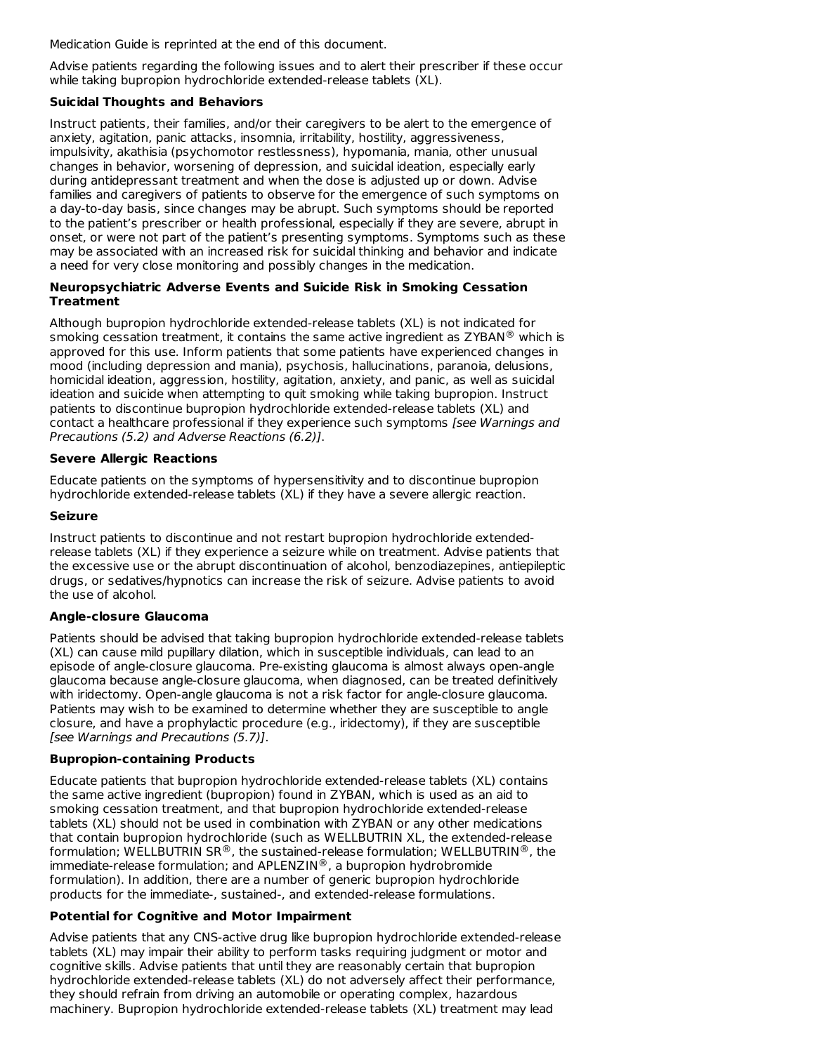Medication Guide is reprinted at the end of this document.

Advise patients regarding the following issues and to alert their prescriber if these occur while taking bupropion hydrochloride extended-release tablets (XL).

## **Suicidal Thoughts and Behaviors**

Instruct patients, their families, and/or their caregivers to be alert to the emergence of anxiety, agitation, panic attacks, insomnia, irritability, hostility, aggressiveness, impulsivity, akathisia (psychomotor restlessness), hypomania, mania, other unusual changes in behavior, worsening of depression, and suicidal ideation, especially early during antidepressant treatment and when the dose is adjusted up or down. Advise families and caregivers of patients to observe for the emergence of such symptoms on a day-to-day basis, since changes may be abrupt. Such symptoms should be reported to the patient's prescriber or health professional, especially if they are severe, abrupt in onset, or were not part of the patient's presenting symptoms. Symptoms such as these may be associated with an increased risk for suicidal thinking and behavior and indicate a need for very close monitoring and possibly changes in the medication.

#### **Neuropsychiatric Adverse Events and Suicide Risk in Smoking Cessation Treatment**

Although bupropion hydrochloride extended-release tablets (XL) is not indicated for smoking cessation treatment, it contains the same active ingredient as ZYBAN $^\circledR$  which is approved for this use. Inform patients that some patients have experienced changes in mood (including depression and mania), psychosis, hallucinations, paranoia, delusions, homicidal ideation, aggression, hostility, agitation, anxiety, and panic, as well as suicidal ideation and suicide when attempting to quit smoking while taking bupropion. Instruct patients to discontinue bupropion hydrochloride extended-release tablets (XL) and contact a healthcare professional if they experience such symptoms [see Warnings and Precautions (5.2) and Adverse Reactions (6.2)].

## **Severe Allergic Reactions**

Educate patients on the symptoms of hypersensitivity and to discontinue bupropion hydrochloride extended-release tablets (XL) if they have a severe allergic reaction.

## **Seizure**

Instruct patients to discontinue and not restart bupropion hydrochloride extendedrelease tablets (XL) if they experience a seizure while on treatment. Advise patients that the excessive use or the abrupt discontinuation of alcohol, benzodiazepines, antiepileptic drugs, or sedatives/hypnotics can increase the risk of seizure. Advise patients to avoid the use of alcohol.

## **Angle-closure Glaucoma**

Patients should be advised that taking bupropion hydrochloride extended-release tablets (XL) can cause mild pupillary dilation, which in susceptible individuals, can lead to an episode of angle-closure glaucoma. Pre-existing glaucoma is almost always open-angle glaucoma because angle-closure glaucoma, when diagnosed, can be treated definitively with iridectomy. Open-angle glaucoma is not a risk factor for angle-closure glaucoma. Patients may wish to be examined to determine whether they are susceptible to angle closure, and have a prophylactic procedure (e.g., iridectomy), if they are susceptible [see Warnings and Precautions (5.7)].

## **Bupropion-containing Products**

Educate patients that bupropion hydrochloride extended-release tablets (XL) contains the same active ingredient (bupropion) found in ZYBAN, which is used as an aid to smoking cessation treatment, and that bupropion hydrochloride extended-release tablets (XL) should not be used in combination with ZYBAN or any other medications that contain bupropion hydrochloride (such as WELLBUTRIN XL, the extended-release formulation; <code>WELLBUTRIN SR®</code> , the sustained-release formulation; <code>WELLBUTRIN®</code> , the immediate-release formulation; and APLENZIN®, a bupropion hydrobromide formulation). In addition, there are a number of generic bupropion hydrochloride products for the immediate-, sustained-, and extended-release formulations.

## **Potential for Cognitive and Motor Impairment**

Advise patients that any CNS-active drug like bupropion hydrochloride extended-release tablets (XL) may impair their ability to perform tasks requiring judgment or motor and cognitive skills. Advise patients that until they are reasonably certain that bupropion hydrochloride extended-release tablets (XL) do not adversely affect their performance, they should refrain from driving an automobile or operating complex, hazardous machinery. Bupropion hydrochloride extended-release tablets (XL) treatment may lead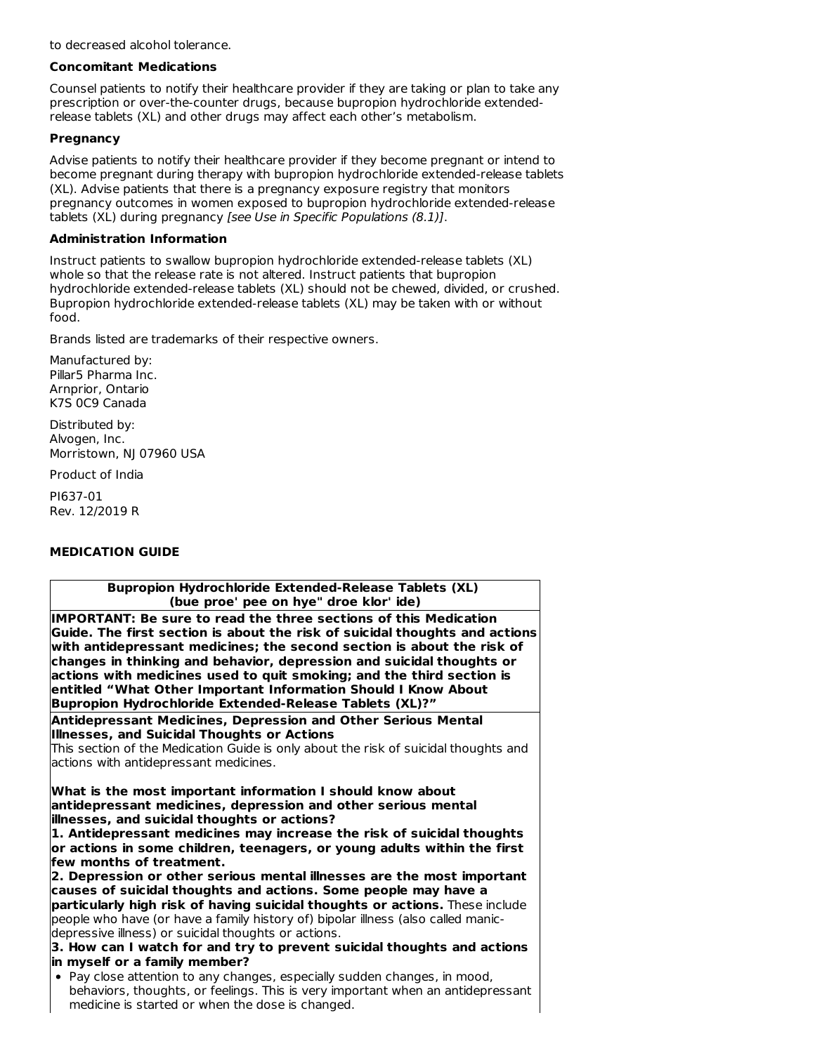to decreased alcohol tolerance.

#### **Concomitant Medications**

Counsel patients to notify their healthcare provider if they are taking or plan to take any prescription or over-the-counter drugs, because bupropion hydrochloride extendedrelease tablets (XL) and other drugs may affect each other's metabolism.

## **Pregnancy**

Advise patients to notify their healthcare provider if they become pregnant or intend to become pregnant during therapy with bupropion hydrochloride extended-release tablets (XL). Advise patients that there is a pregnancy exposure registry that monitors pregnancy outcomes in women exposed to bupropion hydrochloride extended-release tablets (XL) during pregnancy [see Use in Specific Populations (8.1)].

## **Administration Information**

Instruct patients to swallow bupropion hydrochloride extended-release tablets (XL) whole so that the release rate is not altered. Instruct patients that bupropion hydrochloride extended-release tablets (XL) should not be chewed, divided, or crushed. Bupropion hydrochloride extended-release tablets (XL) may be taken with or without food.

Brands listed are trademarks of their respective owners.

Manufactured by: Pillar5 Pharma Inc. Arnprior, Ontario K7S 0C9 Canada

Distributed by: Alvogen, Inc. Morristown, NJ 07960 USA

Product of India

PI637-01 Rev. 12/2019 R

## **MEDICATION GUIDE**

| <b>Bupropion Hydrochloride Extended-Release Tablets (XL)</b>                                                                                                                                                                                                                                                                                                                                                                                                                                             |  |  |  |  |
|----------------------------------------------------------------------------------------------------------------------------------------------------------------------------------------------------------------------------------------------------------------------------------------------------------------------------------------------------------------------------------------------------------------------------------------------------------------------------------------------------------|--|--|--|--|
| (bue proe' pee on hye" droe klor' ide)                                                                                                                                                                                                                                                                                                                                                                                                                                                                   |  |  |  |  |
| IMPORTANT: Be sure to read the three sections of this Medication<br>Guide. The first section is about the risk of suicidal thoughts and actions<br>with antidepressant medicines; the second section is about the risk of<br>changes in thinking and behavior, depression and suicidal thoughts or<br>actions with medicines used to quit smoking; and the third section is<br>entitled "What Other Important Information Should I Know About<br>Bupropion Hydrochloride Extended-Release Tablets (XL)?" |  |  |  |  |
| Antidepressant Medicines, Depression and Other Serious Mental                                                                                                                                                                                                                                                                                                                                                                                                                                            |  |  |  |  |
| Illnesses, and Suicidal Thoughts or Actions                                                                                                                                                                                                                                                                                                                                                                                                                                                              |  |  |  |  |
| This section of the Medication Guide is only about the risk of suicidal thoughts and                                                                                                                                                                                                                                                                                                                                                                                                                     |  |  |  |  |
| actions with antidepressant medicines.                                                                                                                                                                                                                                                                                                                                                                                                                                                                   |  |  |  |  |
| What is the most important information I should know about                                                                                                                                                                                                                                                                                                                                                                                                                                               |  |  |  |  |
| antidepressant medicines, depression and other serious mental                                                                                                                                                                                                                                                                                                                                                                                                                                            |  |  |  |  |
| illnesses, and suicidal thoughts or actions?                                                                                                                                                                                                                                                                                                                                                                                                                                                             |  |  |  |  |
| 1. Antidepressant medicines may increase the risk of suicidal thoughts                                                                                                                                                                                                                                                                                                                                                                                                                                   |  |  |  |  |
| or actions in some children, teenagers, or young adults within the first<br>few months of treatment.                                                                                                                                                                                                                                                                                                                                                                                                     |  |  |  |  |
| 2. Depression or other serious mental illnesses are the most important                                                                                                                                                                                                                                                                                                                                                                                                                                   |  |  |  |  |
| causes of suicidal thoughts and actions. Some people may have a                                                                                                                                                                                                                                                                                                                                                                                                                                          |  |  |  |  |
| particularly high risk of having suicidal thoughts or actions. These include                                                                                                                                                                                                                                                                                                                                                                                                                             |  |  |  |  |
| people who have (or have a family history of) bipolar illness (also called manic-                                                                                                                                                                                                                                                                                                                                                                                                                        |  |  |  |  |
| depressive illness) or suicidal thoughts or actions.                                                                                                                                                                                                                                                                                                                                                                                                                                                     |  |  |  |  |
| 3. How can I watch for and try to prevent suicidal thoughts and actions                                                                                                                                                                                                                                                                                                                                                                                                                                  |  |  |  |  |
| in myself or a family member?                                                                                                                                                                                                                                                                                                                                                                                                                                                                            |  |  |  |  |
| • Pay close attention to any changes, especially sudden changes, in mood,                                                                                                                                                                                                                                                                                                                                                                                                                                |  |  |  |  |
| behaviors, thoughts, or feelings. This is very important when an antidepressant<br>medicine is started or when the dose is changed.                                                                                                                                                                                                                                                                                                                                                                      |  |  |  |  |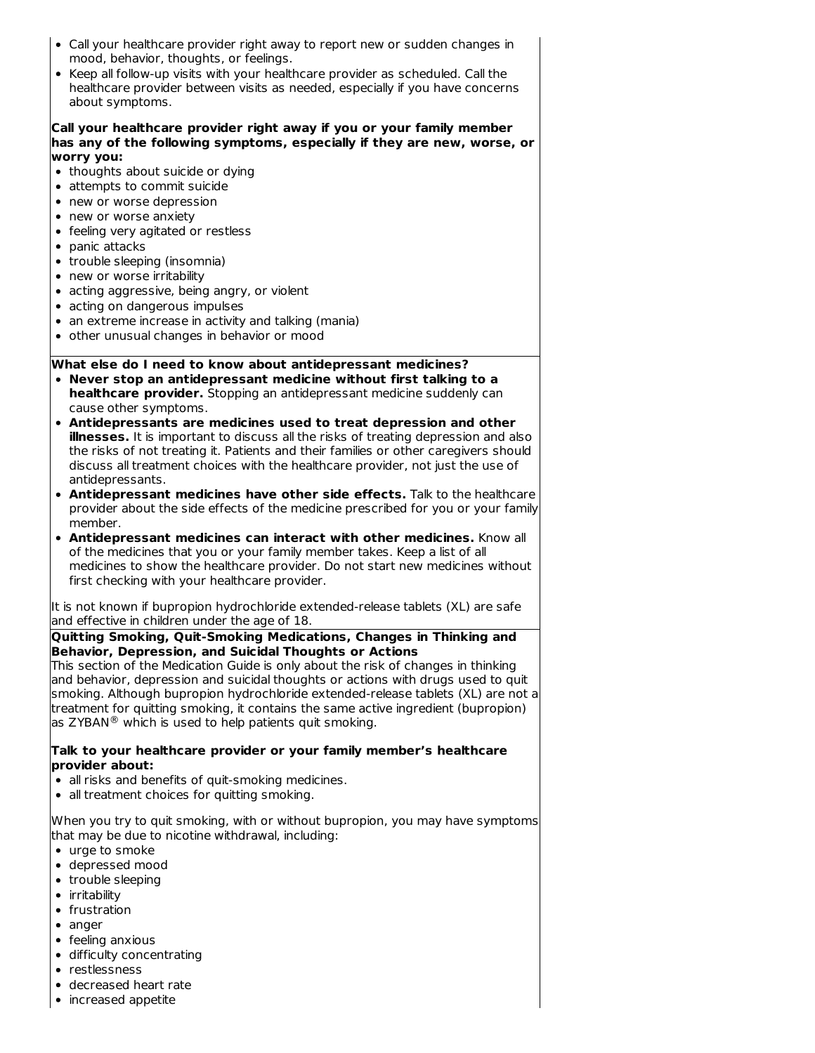- Call your healthcare provider right away to report new or sudden changes in mood, behavior, thoughts, or feelings.
- Keep all follow-up visits with your healthcare provider as scheduled. Call the healthcare provider between visits as needed, especially if you have concerns about symptoms.

#### **Call your healthcare provider right away if you or your family member has any of the following symptoms, especially if they are new, worse, or worry you:**

- thoughts about suicide or dying
- attempts to commit suicide
- new or worse depression
- new or worse anxiety
- feeling very agitated or restless
- panic attacks
- trouble sleeping (insomnia)
- new or worse irritability
- acting aggressive, being angry, or violent
- acting on dangerous impulses
- an extreme increase in activity and talking (mania)
- other unusual changes in behavior or mood

## **What else do I need to know about antidepressant medicines?**

- **Never stop an antidepressant medicine without first talking to a healthcare provider.** Stopping an antidepressant medicine suddenly can cause other symptoms.
- **Antidepressants are medicines used to treat depression and other illnesses.** It is important to discuss all the risks of treating depression and also the risks of not treating it. Patients and their families or other caregivers should discuss all treatment choices with the healthcare provider, not just the use of antidepressants.
- **Antidepressant medicines have other side effects.** Talk to the healthcare provider about the side effects of the medicine prescribed for you or your family member.
- **Antidepressant medicines can interact with other medicines.** Know all of the medicines that you or your family member takes. Keep a list of all medicines to show the healthcare provider. Do not start new medicines without first checking with your healthcare provider.

It is not known if bupropion hydrochloride extended-release tablets (XL) are safe and effective in children under the age of 18.

#### **Quitting Smoking, Quit-Smoking Medications, Changes in Thinking and Behavior, Depression, and Suicidal Thoughts or Actions**

This section of the Medication Guide is only about the risk of changes in thinking and behavior, depression and suicidal thoughts or actions with drugs used to quit smoking. Although bupropion hydrochloride extended-release tablets (XL) are not a treatment for quitting smoking, it contains the same active ingredient (bupropion) as ZYBAN $^{\circledR}$  which is used to help patients quit smoking.

#### **Talk to your healthcare provider or your family member's healthcare provider about:**

- all risks and benefits of quit-smoking medicines.
- all treatment choices for quitting smoking.

When you try to quit smoking, with or without bupropion, you may have symptoms that may be due to nicotine withdrawal, including:

- urge to smoke
- depressed mood
- trouble sleeping
- irritability
- frustration
- anger
- $\bullet$  feeling anxious
- difficulty concentrating
- restlessness
- decreased heart rate
- increased appetite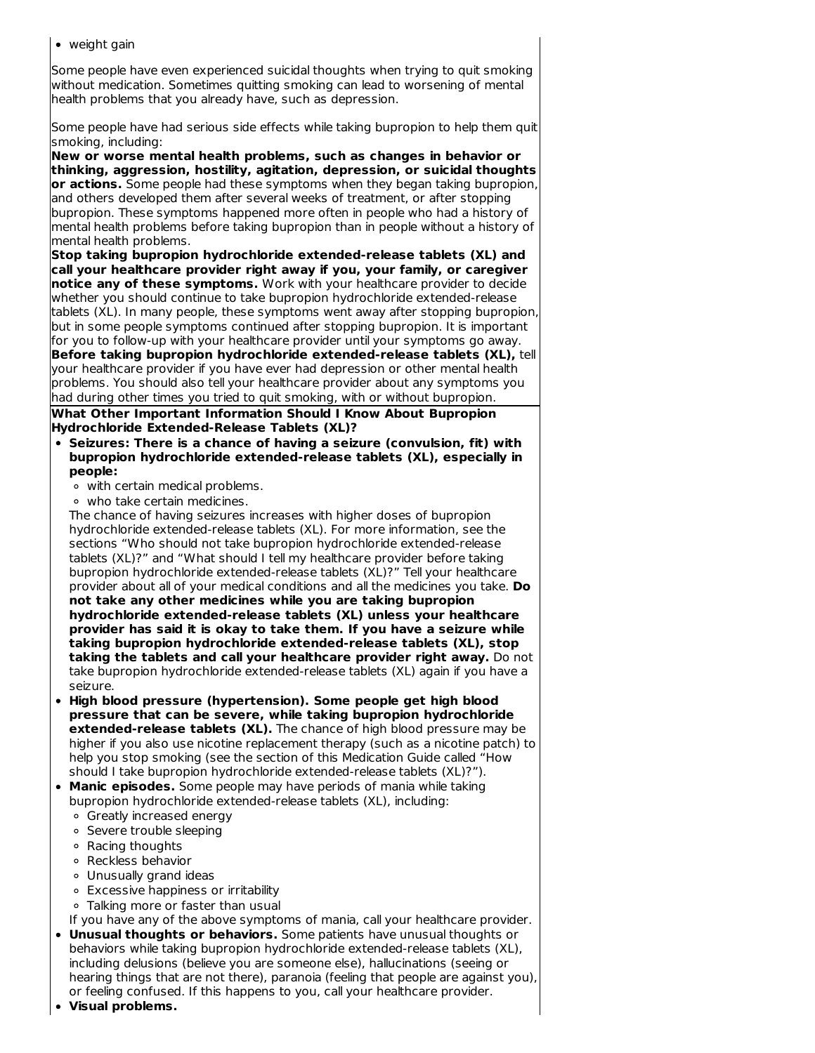• weight gain

Some people have even experienced suicidal thoughts when trying to quit smoking without medication. Sometimes quitting smoking can lead to worsening of mental health problems that you already have, such as depression.

Some people have had serious side effects while taking bupropion to help them quit smoking, including:

**New or worse mental health problems, such as changes in behavior or thinking, aggression, hostility, agitation, depression, or suicidal thoughts or actions.** Some people had these symptoms when they began taking bupropion, and others developed them after several weeks of treatment, or after stopping bupropion. These symptoms happened more often in people who had a history of mental health problems before taking bupropion than in people without a history of mental health problems.

**Stop taking bupropion hydrochloride extended-release tablets (XL) and call your healthcare provider right away if you, your family, or caregiver notice any of these symptoms.** Work with your healthcare provider to decide whether you should continue to take bupropion hydrochloride extended-release tablets (XL). In many people, these symptoms went away after stopping bupropion, but in some people symptoms continued after stopping bupropion. It is important for you to follow-up with your healthcare provider until your symptoms go away. **Before taking bupropion hydrochloride extended-release tablets (XL),** tell your healthcare provider if you have ever had depression or other mental health problems. You should also tell your healthcare provider about any symptoms you had during other times you tried to quit smoking, with or without bupropion.

**What Other Important Information Should I Know About Bupropion Hydrochloride Extended-Release Tablets (XL)?**

- **Seizures: There is a chance of having a seizure (convulsion, fit) with bupropion hydrochloride extended-release tablets (XL), especially in people:**
	- with certain medical problems.
	- who take certain medicines.

The chance of having seizures increases with higher doses of bupropion hydrochloride extended-release tablets (XL). For more information, see the sections "Who should not take bupropion hydrochloride extended-release tablets (XL)?" and "What should I tell my healthcare provider before taking bupropion hydrochloride extended-release tablets (XL)?" Tell your healthcare provider about all of your medical conditions and all the medicines you take. **Do not take any other medicines while you are taking bupropion hydrochloride extended-release tablets (XL) unless your healthcare provider has said it is okay to take them. If you have a seizure while taking bupropion hydrochloride extended-release tablets (XL), stop taking the tablets and call your healthcare provider right away.** Do not take bupropion hydrochloride extended-release tablets (XL) again if you have a seizure.

- **High blood pressure (hypertension). Some people get high blood pressure that can be severe, while taking bupropion hydrochloride extended-release tablets (XL).** The chance of high blood pressure may be higher if you also use nicotine replacement therapy (such as a nicotine patch) to help you stop smoking (see the section of this Medication Guide called "How should I take bupropion hydrochloride extended-release tablets (XL)?").
- **Manic episodes.** Some people may have periods of mania while taking bupropion hydrochloride extended-release tablets (XL), including:
	- Greatly increased energy
	- o Severe trouble sleeping
	- Racing thoughts
	- Reckless behavior
	- Unusually grand ideas
	- Excessive happiness or irritability
	- Talking more or faster than usual
- If you have any of the above symptoms of mania, call your healthcare provider. **Unusual thoughts or behaviors.** Some patients have unusual thoughts or behaviors while taking bupropion hydrochloride extended-release tablets (XL),
- including delusions (believe you are someone else), hallucinations (seeing or hearing things that are not there), paranoia (feeling that people are against you), or feeling confused. If this happens to you, call your healthcare provider.
- **Visual problems.**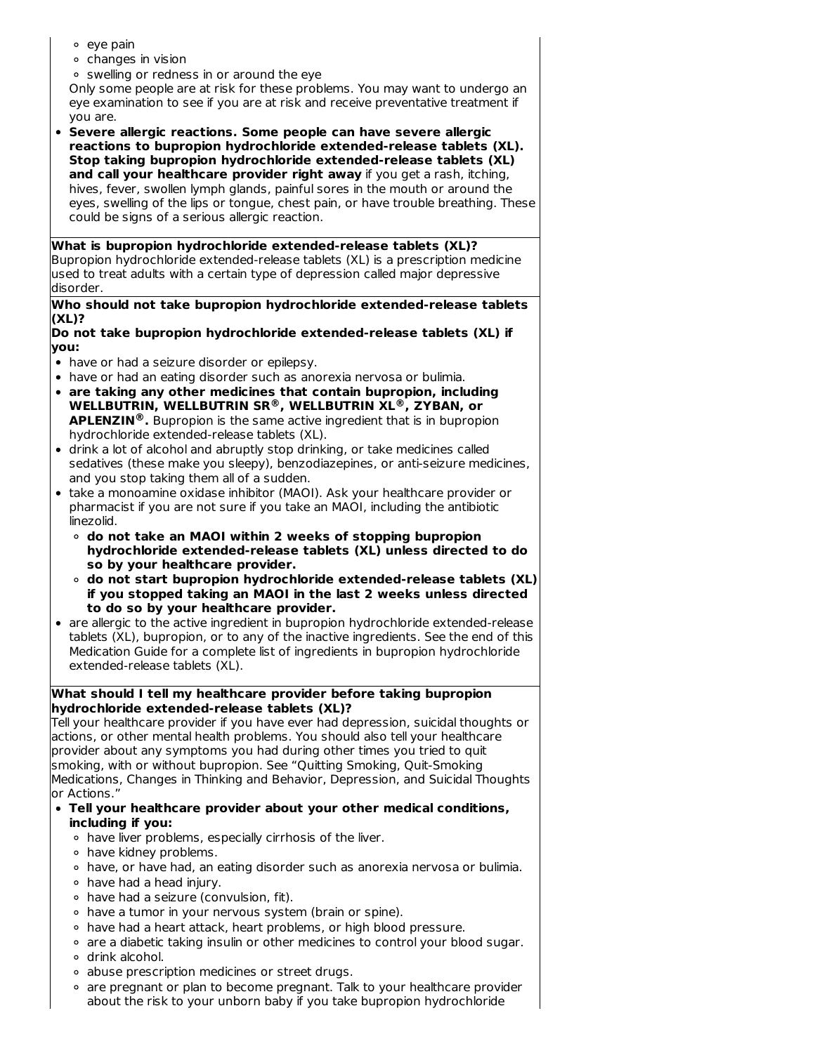- eye pain
- $\circ$  changes in vision
- swelling or redness in or around the eye

Only some people are at risk for these problems. You may want to undergo an eye examination to see if you are at risk and receive preventative treatment if you are.

**Severe allergic reactions. Some people can have severe allergic reactions to bupropion hydrochloride extended-release tablets (XL). Stop taking bupropion hydrochloride extended-release tablets (XL) and call your healthcare provider right away** if you get a rash, itching, hives, fever, swollen lymph glands, painful sores in the mouth or around the eyes, swelling of the lips or tongue, chest pain, or have trouble breathing. These could be signs of a serious allergic reaction.

#### **What is bupropion hydrochloride extended-release tablets (XL)?** Bupropion hydrochloride extended-release tablets (XL) is a prescription medicine used to treat adults with a certain type of depression called major depressive disorder.

#### **Who should not take bupropion hydrochloride extended-release tablets (XL)?**

- **Do not take bupropion hydrochloride extended-release tablets (XL) if you:**
- have or had a seizure disorder or epilepsy.
- have or had an eating disorder such as anorexia nervosa or bulimia.
- **are taking any other medicines that contain bupropion, including WELLBUTRIN, WELLBUTRIN SR , WELLBUTRIN XL , ZYBAN, or ® ® APLENZIN .** Bupropion is the same active ingredient that is in bupropion **®**hydrochloride extended-release tablets (XL).
- drink a lot of alcohol and abruptly stop drinking, or take medicines called sedatives (these make you sleepy), benzodiazepines, or anti-seizure medicines, and you stop taking them all of a sudden.
- take a monoamine oxidase inhibitor (MAOI). Ask your healthcare provider or pharmacist if you are not sure if you take an MAOI, including the antibiotic linezolid.
	- **do not take an MAOI within 2 weeks of stopping bupropion hydrochloride extended-release tablets (XL) unless directed to do so by your healthcare provider.**
	- **do not start bupropion hydrochloride extended-release tablets (XL) if you stopped taking an MAOI in the last 2 weeks unless directed to do so by your healthcare provider.**
- are allergic to the active ingredient in bupropion hydrochloride extended-release tablets (XL), bupropion, or to any of the inactive ingredients. See the end of this Medication Guide for a complete list of ingredients in bupropion hydrochloride extended-release tablets (XL).

## **What should I tell my healthcare provider before taking bupropion hydrochloride extended-release tablets (XL)?**

Tell your healthcare provider if you have ever had depression, suicidal thoughts or actions, or other mental health problems. You should also tell your healthcare provider about any symptoms you had during other times you tried to quit smoking, with or without bupropion. See "Quitting Smoking, Quit-Smoking Medications, Changes in Thinking and Behavior, Depression, and Suicidal Thoughts or Actions."

- **Tell your healthcare provider about your other medical conditions, including if you:**
	- have liver problems, especially cirrhosis of the liver.
	- have kidney problems.
	- o have, or have had, an eating disorder such as anorexia nervosa or bulimia.
	- $\circ$  have had a head injury.
	- have had a seizure (convulsion, fit).
	- have a tumor in your nervous system (brain or spine).
	- o have had a heart attack, heart problems, or high blood pressure.
	- o are a diabetic taking insulin or other medicines to control your blood sugar.
	- drink alcohol.
	- abuse prescription medicines or street drugs.
	- $\circ$  are pregnant or plan to become pregnant. Talk to your healthcare provider about the risk to your unborn baby if you take bupropion hydrochloride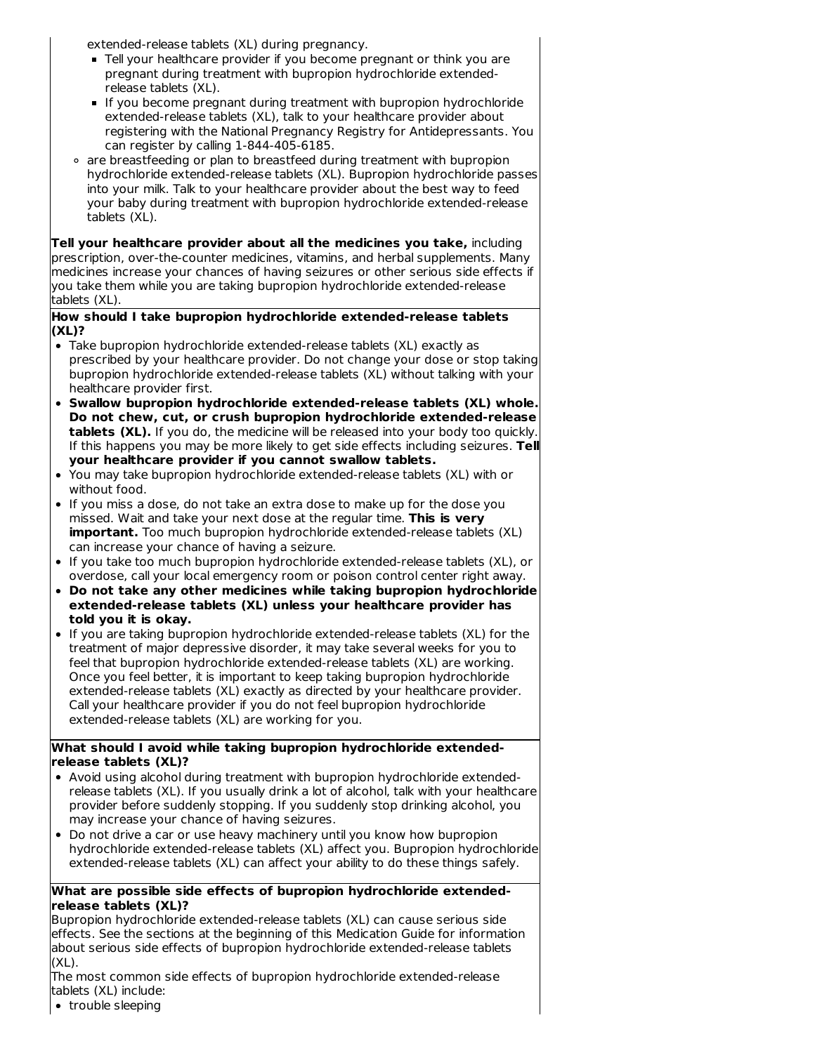extended-release tablets (XL) during pregnancy.

- Tell your healthcare provider if you become pregnant or think you are pregnant during treatment with bupropion hydrochloride extendedrelease tablets (XL).
- If you become pregnant during treatment with bupropion hydrochloride extended-release tablets (XL), talk to your healthcare provider about registering with the National Pregnancy Registry for Antidepressants. You can register by calling 1-844-405-6185.
- are breastfeeding or plan to breastfeed during treatment with bupropion hydrochloride extended-release tablets (XL). Bupropion hydrochloride passes into your milk. Talk to your healthcare provider about the best way to feed your baby during treatment with bupropion hydrochloride extended-release tablets (XL).

**Tell your healthcare provider about all the medicines you take,** including prescription, over-the-counter medicines, vitamins, and herbal supplements. Many medicines increase your chances of having seizures or other serious side effects if you take them while you are taking bupropion hydrochloride extended-release tablets (XL).

#### **How should I take bupropion hydrochloride extended-release tablets (XL)?**

- Take bupropion hydrochloride extended-release tablets (XL) exactly as prescribed by your healthcare provider. Do not change your dose or stop taking bupropion hydrochloride extended-release tablets (XL) without talking with your healthcare provider first.
- **Swallow bupropion hydrochloride extended-release tablets (XL) whole. Do not chew, cut, or crush bupropion hydrochloride extended-release tablets (XL).** If you do, the medicine will be released into your body too quickly. If this happens you may be more likely to get side effects including seizures. **Tell your healthcare provider if you cannot swallow tablets.**
- You may take bupropion hydrochloride extended-release tablets (XL) with or without food.
- If you miss a dose, do not take an extra dose to make up for the dose you missed. Wait and take your next dose at the regular time. **This is very important.** Too much bupropion hydrochloride extended-release tablets (XL) can increase your chance of having a seizure.
- If you take too much bupropion hydrochloride extended-release tablets (XL), or overdose, call your local emergency room or poison control center right away.
- **Do not take any other medicines while taking bupropion hydrochloride extended-release tablets (XL) unless your healthcare provider has told you it is okay.**
- If you are taking bupropion hydrochloride extended-release tablets (XL) for the treatment of major depressive disorder, it may take several weeks for you to feel that bupropion hydrochloride extended-release tablets (XL) are working. Once you feel better, it is important to keep taking bupropion hydrochloride extended-release tablets (XL) exactly as directed by your healthcare provider. Call your healthcare provider if you do not feel bupropion hydrochloride extended-release tablets (XL) are working for you.

## **What should I avoid while taking bupropion hydrochloride extendedrelease tablets (XL)?**

- Avoid using alcohol during treatment with bupropion hydrochloride extendedrelease tablets (XL). If you usually drink a lot of alcohol, talk with your healthcare provider before suddenly stopping. If you suddenly stop drinking alcohol, you may increase your chance of having seizures.
- Do not drive a car or use heavy machinery until you know how bupropion hydrochloride extended-release tablets (XL) affect you. Bupropion hydrochloride extended-release tablets (XL) can affect your ability to do these things safely.

## **What are possible side effects of bupropion hydrochloride extendedrelease tablets (XL)?**

Bupropion hydrochloride extended-release tablets (XL) can cause serious side effects. See the sections at the beginning of this Medication Guide for information about serious side effects of bupropion hydrochloride extended-release tablets (XL).

The most common side effects of bupropion hydrochloride extended-release tablets (XL) include:

• trouble sleeping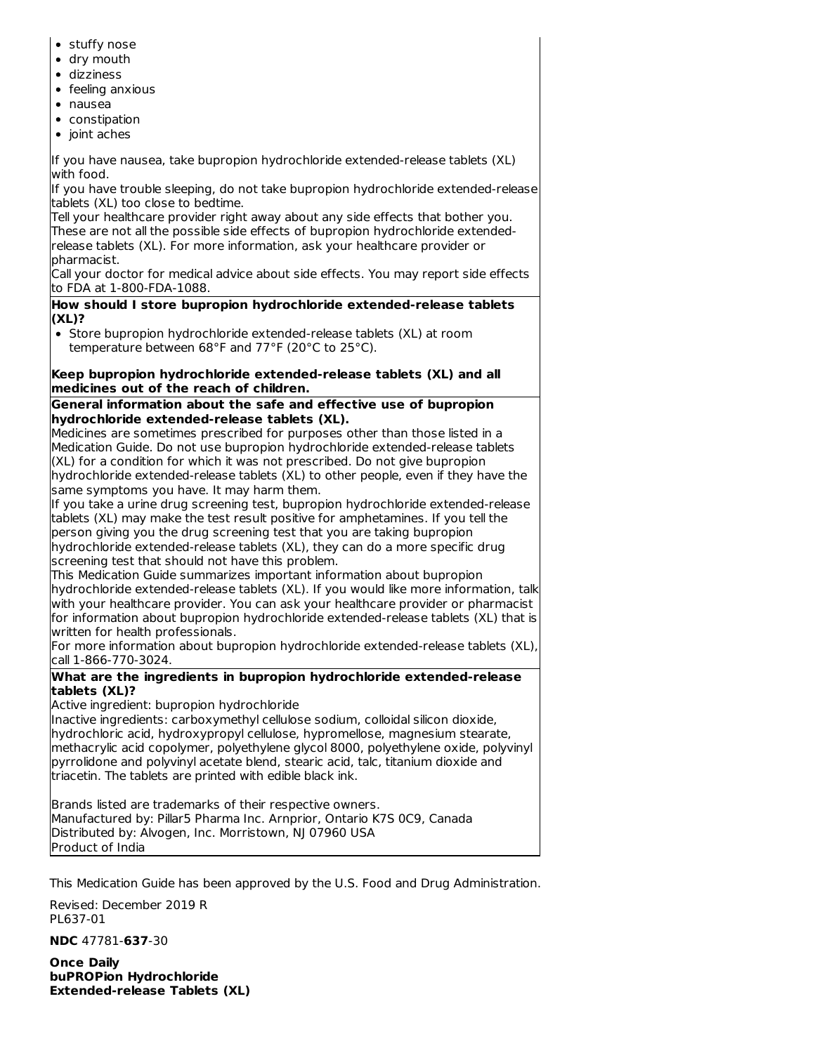- stuffy nose
- dry mouth
- dizziness
- $\bullet$  feeling anxious
- nausea
- constipation
- $\bullet$  joint aches

If you have nausea, take bupropion hydrochloride extended-release tablets (XL) with food.

If you have trouble sleeping, do not take bupropion hydrochloride extended-release tablets (XL) too close to bedtime.

Tell your healthcare provider right away about any side effects that bother you. These are not all the possible side effects of bupropion hydrochloride extendedrelease tablets (XL). For more information, ask your healthcare provider or pharmacist.

Call your doctor for medical advice about side effects. You may report side effects to FDA at 1-800-FDA-1088.

**How should I store bupropion hydrochloride extended-release tablets (XL)?**

Store bupropion hydrochloride extended-release tablets (XL) at room temperature between 68°F and 77°F (20°C to 25°C).

#### **Keep bupropion hydrochloride extended-release tablets (XL) and all medicines out of the reach of children.**

## **General information about the safe and effective use of bupropion hydrochloride extended-release tablets (XL).**

Medicines are sometimes prescribed for purposes other than those listed in a Medication Guide. Do not use bupropion hydrochloride extended-release tablets (XL) for a condition for which it was not prescribed. Do not give bupropion hydrochloride extended-release tablets (XL) to other people, even if they have the same symptoms you have. It may harm them.

If you take a urine drug screening test, bupropion hydrochloride extended-release tablets (XL) may make the test result positive for amphetamines. If you tell the person giving you the drug screening test that you are taking bupropion

hydrochloride extended-release tablets (XL), they can do a more specific drug screening test that should not have this problem.

This Medication Guide summarizes important information about bupropion hydrochloride extended-release tablets (XL). If you would like more information, talk with your healthcare provider. You can ask your healthcare provider or pharmacist for information about bupropion hydrochloride extended-release tablets (XL) that is written for health professionals.

For more information about bupropion hydrochloride extended-release tablets (XL), call 1-866-770-3024.

## **What are the ingredients in bupropion hydrochloride extended-release tablets (XL)?**

Active ingredient: bupropion hydrochloride

Inactive ingredients: carboxymethyl cellulose sodium, colloidal silicon dioxide, hydrochloric acid, hydroxypropyl cellulose, hypromellose, magnesium stearate, methacrylic acid copolymer, polyethylene glycol 8000, polyethylene oxide, polyvinyl pyrrolidone and polyvinyl acetate blend, stearic acid, talc, titanium dioxide and triacetin. The tablets are printed with edible black ink.

Brands listed are trademarks of their respective owners. Manufactured by: Pillar5 Pharma Inc. Arnprior, Ontario K7S 0C9, Canada Distributed by: Alvogen, Inc. Morristown, NJ 07960 USA Product of India

This Medication Guide has been approved by the U.S. Food and Drug Administration.

Revised: December 2019 R PL637-01

**NDC** 47781-**637**-30

**Once Daily buPROPion Hydrochloride Extended-release Tablets (XL)**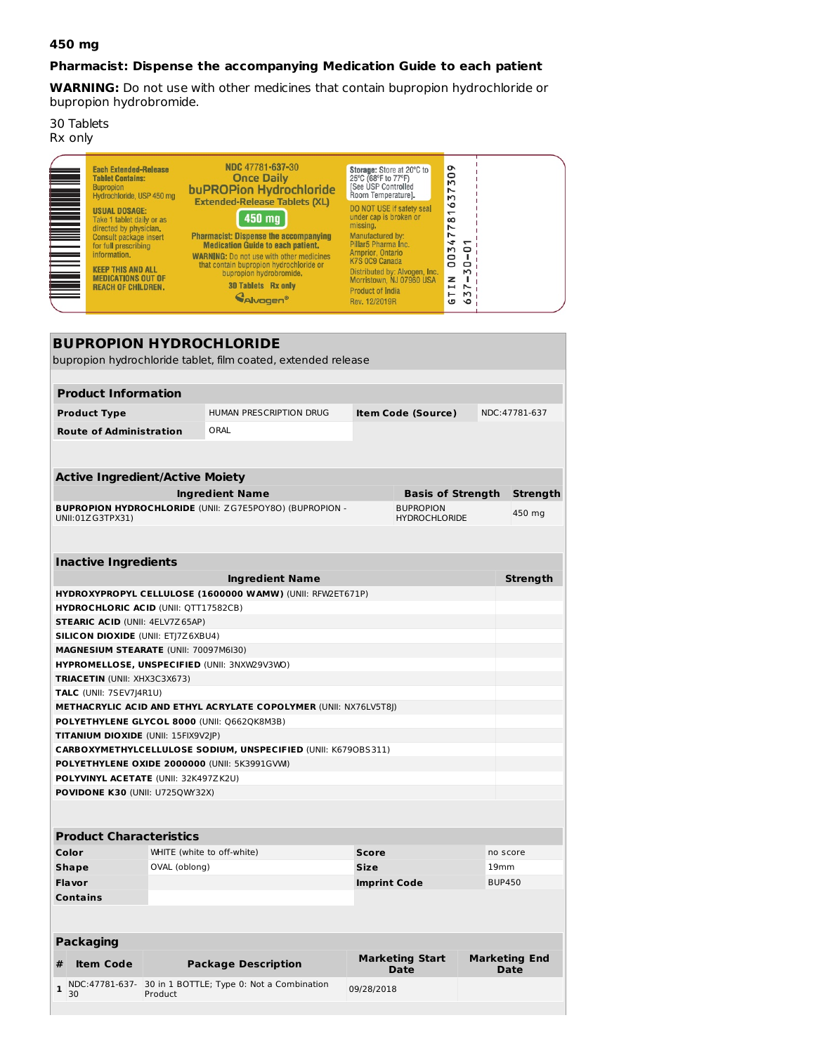## **450 mg**

## **Pharmacist: Dispense the accompanying Medication Guide to each patient**

**WARNING:** Do not use with other medicines that contain bupropion hydrochloride or bupropion hydrobromide.

30 Tablets Rx only

| <u>Manager and the second second</u> | <b>Each Extended-Release</b><br><b>Tablet Contains:</b><br><b>Bupropion</b><br>Hydrochloride, USP 450 mg<br><b>USUAL DOSAGE:</b><br>Take 1 tablet daily or as<br>directed by physician.<br>Consult package insert<br>for full prescribing<br>information.<br><b>KEEP THIS AND ALL</b><br><b>MEDICATIONS OUT OF</b><br><b>REACH OF CHILDREN.</b> | NDC 47781-637-30<br><b>Once Daily</b><br>buPROPion Hydrochloride<br><b>Extended-Release Tablets (XL)</b><br>450 mg<br><b>Pharmacist: Dispense the accompanying</b><br><b>Medication Guide to each patient,</b><br><b>WARNING: Do not use with other medicines</b><br>that contain bupropion hydrochloride or<br>bupropion hydrobromide,<br><b>30 Tablets Rx only</b><br><b>MAI</b> vagen <sup>®</sup> | Storage: Store at 20°C to<br>25°C (68°F to 77°F)<br><b>ISee USP Controlled</b><br>Room Temperature].<br>DO NOT USE if safety seal<br>under cap is broken or<br>missing,<br>Manufactured by:<br>Pillar5 Pharma Inc.<br>Arnprior, Ontario<br>K7S 0C9 Canada<br>Distributed by: Alvogen, Inc.<br>Morristown, NJ 07960 USA<br><b>Product of India</b><br>Rev. 12/2019R | ᡐ<br>50<br>$\overline{ }$<br>$\mathsf{M}$<br>$\circ$<br>$\overline{\phantom{0}}$<br>$\infty$<br>N<br>Ľ<br>4<br>ſ<br><b>M</b><br>$\circ$<br>O<br>$\circ$<br>$\circ$<br>$\mathsf{M}$<br>z<br>$\blacksquare$<br>$\overline{\phantom{0}}$<br>⊢<br>M<br>G<br>$\circ$ |  |
|--------------------------------------|-------------------------------------------------------------------------------------------------------------------------------------------------------------------------------------------------------------------------------------------------------------------------------------------------------------------------------------------------|-------------------------------------------------------------------------------------------------------------------------------------------------------------------------------------------------------------------------------------------------------------------------------------------------------------------------------------------------------------------------------------------------------|--------------------------------------------------------------------------------------------------------------------------------------------------------------------------------------------------------------------------------------------------------------------------------------------------------------------------------------------------------------------|-----------------------------------------------------------------------------------------------------------------------------------------------------------------------------------------------------------------------------------------------------------------|--|
|--------------------------------------|-------------------------------------------------------------------------------------------------------------------------------------------------------------------------------------------------------------------------------------------------------------------------------------------------------------------------------------------------|-------------------------------------------------------------------------------------------------------------------------------------------------------------------------------------------------------------------------------------------------------------------------------------------------------------------------------------------------------------------------------------------------------|--------------------------------------------------------------------------------------------------------------------------------------------------------------------------------------------------------------------------------------------------------------------------------------------------------------------------------------------------------------------|-----------------------------------------------------------------------------------------------------------------------------------------------------------------------------------------------------------------------------------------------------------------|--|

| <b>BUPROPION HYDROCHLORIDE</b>               |                            |                                                                                     |                     |                                       |               |                                     |
|----------------------------------------------|----------------------------|-------------------------------------------------------------------------------------|---------------------|---------------------------------------|---------------|-------------------------------------|
|                                              |                            | bupropion hydrochloride tablet, film coated, extended release                       |                     |                                       |               |                                     |
|                                              |                            |                                                                                     |                     |                                       |               |                                     |
| <b>Product Information</b>                   |                            |                                                                                     |                     |                                       |               |                                     |
| <b>Product Type</b>                          |                            | HUMAN PRESCRIPTION DRUG                                                             |                     | <b>Item Code (Source)</b>             |               | NDC:47781-637                       |
| <b>Route of Administration</b>               |                            | ORAL                                                                                |                     |                                       |               |                                     |
|                                              |                            |                                                                                     |                     |                                       |               |                                     |
|                                              |                            |                                                                                     |                     |                                       |               |                                     |
| <b>Active Ingredient/Active Moiety</b>       |                            |                                                                                     |                     |                                       |               |                                     |
|                                              |                            | <b>Ingredient Name</b>                                                              |                     | <b>Basis of Strength</b>              |               | Strength                            |
|                                              |                            | <b>BUPROPION HYDROCHLORIDE (UNII: ZG7E5POY8O) (BUPROPION -</b>                      |                     | <b>BUPROPION</b>                      |               | 450 mg                              |
| UNII:01ZG3TPX31)                             |                            |                                                                                     |                     | <b>HYDROCHLORIDE</b>                  |               |                                     |
|                                              |                            |                                                                                     |                     |                                       |               |                                     |
| <b>Inactive Ingredients</b>                  |                            |                                                                                     |                     |                                       |               |                                     |
|                                              |                            |                                                                                     |                     |                                       |               |                                     |
|                                              |                            | <b>Ingredient Name</b><br>HYDROXYPROPYL CELLULOSE (1600000 WAMW) (UNII: RFW2ET671P) |                     |                                       |               | Strength                            |
| <b>HYDROCHLORIC ACID (UNII: QTT17582CB)</b>  |                            |                                                                                     |                     |                                       |               |                                     |
| <b>STEARIC ACID (UNII: 4ELV7Z65AP)</b>       |                            |                                                                                     |                     |                                       |               |                                     |
| <b>SILICON DIOXIDE (UNII: ETJ7Z6XBU4)</b>    |                            |                                                                                     |                     |                                       |               |                                     |
| MAGNESIUM STEARATE (UNII: 70097M6I30)        |                            |                                                                                     |                     |                                       |               |                                     |
| HYPROMELLOSE, UNSPECIFIED (UNII: 3NXW29V3WO) |                            |                                                                                     |                     |                                       |               |                                     |
| TRIACETIN (UNII: XHX3C3X673)                 |                            |                                                                                     |                     |                                       |               |                                     |
| TALC (UNII: 7SEV7J4R1U)                      |                            |                                                                                     |                     |                                       |               |                                     |
|                                              |                            | <b>METHACRYLIC ACID AND ETHYL ACRYLATE COPOLYMER (UNII: NX76LV5T8J)</b>             |                     |                                       |               |                                     |
| POLYETHYLENE GLYCOL 8000 (UNII: Q662QK8M3B)  |                            |                                                                                     |                     |                                       |               |                                     |
| <b>TITANIUM DIOXIDE (UNII: 15FIX9V2JP)</b>   |                            |                                                                                     |                     |                                       |               |                                     |
|                                              |                            | CARBOXYMETHYLCELLULOSE SODIUM, UNSPECIFIED (UNII: K6790BS311)                       |                     |                                       |               |                                     |
| POLYETHYLENE OXIDE 2000000 (UNII: 5K3991GVM) |                            |                                                                                     |                     |                                       |               |                                     |
| POLYVINYL ACETATE (UNII: 32K497ZK2U)         |                            |                                                                                     |                     |                                       |               |                                     |
| POVIDONE K30 (UNII: U725QWY32X)              |                            |                                                                                     |                     |                                       |               |                                     |
|                                              |                            |                                                                                     |                     |                                       |               |                                     |
| <b>Product Characteristics</b>               |                            |                                                                                     |                     |                                       |               |                                     |
| Color                                        | WHITE (white to off-white) |                                                                                     | <b>Score</b>        |                                       |               |                                     |
| <b>Shape</b>                                 | OVAL (oblong)              |                                                                                     | <b>Size</b>         |                                       | 19mm          | no score                            |
| Flavor                                       |                            |                                                                                     | <b>Imprint Code</b> |                                       | <b>BUP450</b> |                                     |
| Contains                                     |                            |                                                                                     |                     |                                       |               |                                     |
|                                              |                            |                                                                                     |                     |                                       |               |                                     |
|                                              |                            |                                                                                     |                     |                                       |               |                                     |
| Packaging                                    |                            |                                                                                     |                     |                                       |               |                                     |
| <b>Item Code</b><br>#                        |                            | <b>Package Description</b>                                                          |                     | <b>Marketing Start</b><br><b>Date</b> |               | <b>Marketing End</b><br><b>Date</b> |

09/28/2018

**1** NDC:47781-637- 30 in 1 BOTTLE; Type 0: Not a Combination Product

**Date**